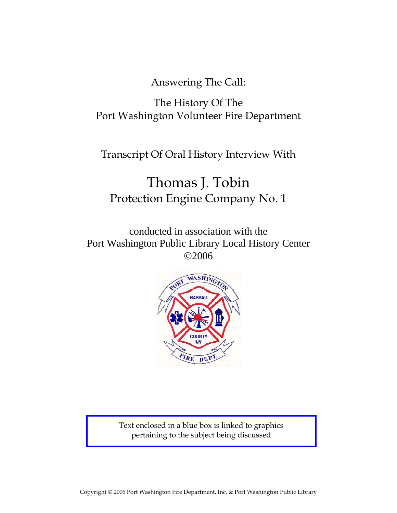Answering The Call:

## The History Of The Port Washington Volunteer Fire Department

Transcript Of Oral History Interview With

# Thomas J. Tobin Protection Engine Company No. 1

conducted in association with the Port Washington Public Library Local History Center ©2006



Text enclosed in a blue box is linked to graphics pertaining to the subject being discussed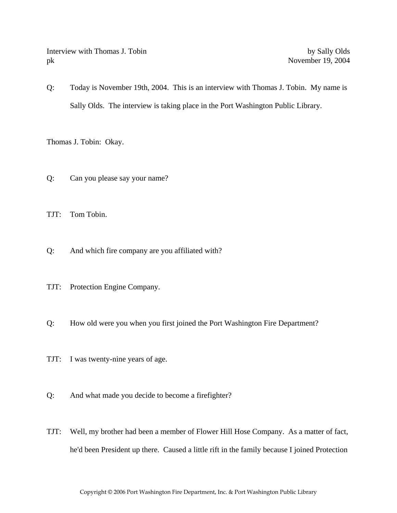Interview with Thomas J. Tobin by Sally Olds pk November 19, 2004

Q: Today is November 19th, 2004. This is an interview with Thomas J. Tobin. My name is Sally Olds. The interview is taking place in the Port Washington Public Library.

Thomas J. Tobin: Okay.

- Q: Can you please say your name?
- TJT: Tom Tobin.
- Q: And which fire company are you affiliated with?
- TJT: Protection Engine Company.
- Q: How old were you when you first joined the Port Washington Fire Department?
- TJT: I was twenty-nine years of age.
- Q: And what made you decide to become a firefighter?
- TJT: Well, my brother had been a member of Flower Hill Hose Company. As a matter of fact, he'd been President up there. Caused a little rift in the family because I joined Protection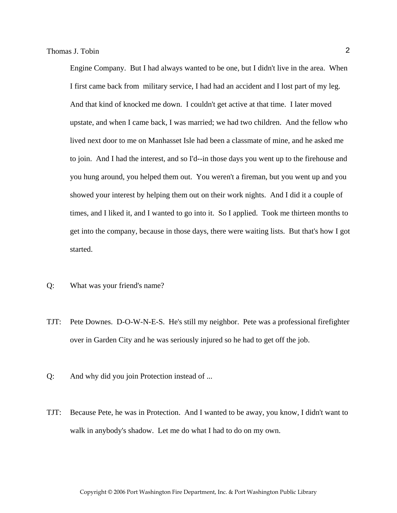Engine Company. But I had always wanted to be one, but I didn't live in the area. When I first came back from military service, I had had an accident and I lost part of my leg. And that kind of knocked me down. I couldn't get active at that time. I later moved upstate, and when I came back, I was married; we had two children. And the fellow who lived next door to me on Manhasset Isle had been a classmate of mine, and he asked me to join. And I had the interest, and so I'd--in those days you went up to the firehouse and you hung around, you helped them out. You weren't a fireman, but you went up and you showed your interest by helping them out on their work nights. And I did it a couple of times, and I liked it, and I wanted to go into it. So I applied. Took me thirteen months to get into the company, because in those days, there were waiting lists. But that's how I got started.

- Q: What was your friend's name?
- TJT: Pete Downes. D-O-W-N-E-S. He's still my neighbor. Pete was a professional firefighter over in Garden City and he was seriously injured so he had to get off the job.
- Q: And why did you join Protection instead of ...
- TJT: Because Pete, he was in Protection. And I wanted to be away, you know, I didn't want to walk in anybody's shadow. Let me do what I had to do on my own.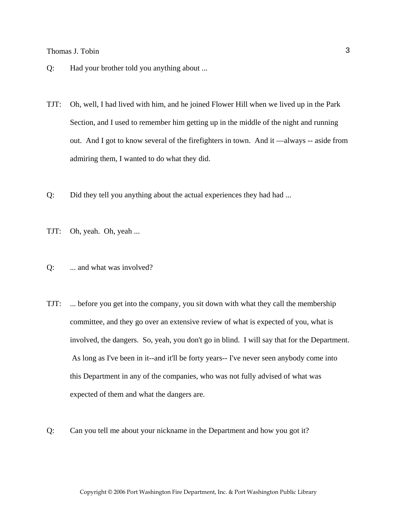- Q: Had your brother told you anything about ...
- TJT: Oh, well, I had lived with him, and he joined Flower Hill when we lived up in the Park Section, and I used to remember him getting up in the middle of the night and running out. And I got to know several of the firefighters in town. And it —always -- aside from admiring them, I wanted to do what they did.
- Q: Did they tell you anything about the actual experiences they had had ...
- TJT: Oh, yeah. Oh, yeah ...
- Q: ... and what was involved?
- TJT: ... before you get into the company, you sit down with what they call the membership committee, and they go over an extensive review of what is expected of you, what is involved, the dangers. So, yeah, you don't go in blind. I will say that for the Department. As long as I've been in it--and it'll be forty years-- I've never seen anybody come into this Department in any of the companies, who was not fully advised of what was expected of them and what the dangers are.
- Q: Can you tell me about your nickname in the Department and how you got it?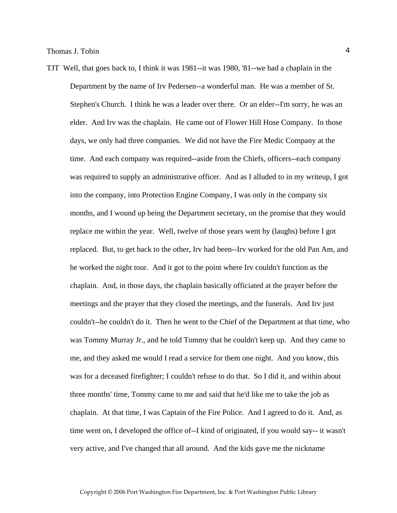TJT Well, that goes back to, I think it was 1981--it was 1980, '81--we had a chaplain in the Department by the name of Irv Pedersen--a wonderful man. He was a member of St. Stephen's Church. I think he was a leader over there. Or an elder--I'm sorry, he was an elder. And Irv was the chaplain. He came out of Flower Hill Hose Company. In those days, we only had three companies. We did not have the Fire Medic Company at the time. And each company was required--aside from the Chiefs, officers--each company was required to supply an administrative officer. And as I alluded to in my writeup, I got into the company, into Protection Engine Company, I was only in the company six months, and I wound up being the Department secretary, on the promise that they would replace me within the year. Well, twelve of those years went by (laughs) before I got replaced. But, to get back to the other, Irv had been--Irv worked for the old Pan Am, and he worked the night tour. And it got to the point where Irv couldn't function as the chaplain. And, in those days, the chaplain basically officiated at the prayer before the meetings and the prayer that they closed the meetings, and the funerals. And Irv just couldn't--he couldn't do it. Then he went to the Chief of the Department at that time, who was Tommy Murray Jr., and he told Tommy that he couldn't keep up. And they came to me, and they asked me would I read a service for them one night. And you know, this was for a deceased firefighter; I couldn't refuse to do that. So I did it, and within about three months' time, Tommy came to me and said that he'd like me to take the job as chaplain. At that time, I was Captain of the Fire Police. And I agreed to do it. And, as time went on, I developed the office of--I kind of originated, if you would say-- it wasn't very active, and I've changed that all around. And the kids gave me the nickname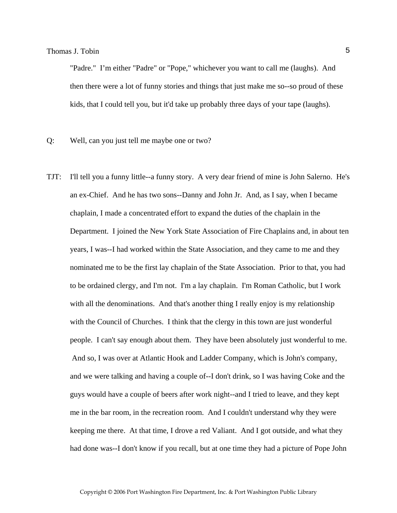"Padre." I'm either "Padre" or "Pope," whichever you want to call me (laughs). And then there were a lot of funny stories and things that just make me so--so proud of these kids, that I could tell you, but it'd take up probably three days of your tape (laughs).

- Q: Well, can you just tell me maybe one or two?
- TJT: I'll tell you a funny little--a funny story. A very dear friend of mine is John Salerno. He's an ex-Chief. And he has two sons--Danny and John Jr. And, as I say, when I became chaplain, I made a concentrated effort to expand the duties of the chaplain in the Department. I joined the New York State Association of Fire Chaplains and, in about ten years, I was--I had worked within the State Association, and they came to me and they nominated me to be the first lay chaplain of the State Association. Prior to that, you had to be ordained clergy, and I'm not. I'm a lay chaplain. I'm Roman Catholic, but I work with all the denominations. And that's another thing I really enjoy is my relationship with the Council of Churches. I think that the clergy in this town are just wonderful people. I can't say enough about them. They have been absolutely just wonderful to me. And so, I was over at Atlantic Hook and Ladder Company, which is John's company, and we were talking and having a couple of--I don't drink, so I was having Coke and the guys would have a couple of beers after work night--and I tried to leave, and they kept me in the bar room, in the recreation room. And I couldn't understand why they were keeping me there. At that time, I drove a red Valiant. And I got outside, and what they had done was--I don't know if you recall, but at one time they had a picture of Pope John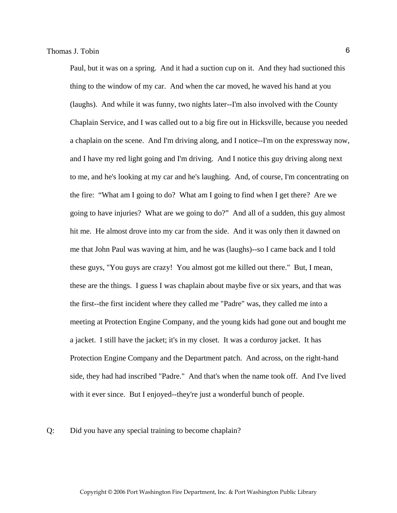Paul, but it was on a spring. And it had a suction cup on it. And they had suctioned this thing to the window of my car. And when the car moved, he waved his hand at you (laughs). And while it was funny, two nights later--I'm also involved with the County Chaplain Service, and I was called out to a big fire out in Hicksville, because you needed a chaplain on the scene. And I'm driving along, and I notice--I'm on the expressway now, and I have my red light going and I'm driving. And I notice this guy driving along next to me, and he's looking at my car and he's laughing. And, of course, I'm concentrating on the fire: "What am I going to do? What am I going to find when I get there? Are we going to have injuries? What are we going to do?" And all of a sudden, this guy almost hit me. He almost drove into my car from the side. And it was only then it dawned on me that John Paul was waving at him, and he was (laughs)--so I came back and I told these guys, "You guys are crazy! You almost got me killed out there." But, I mean, these are the things. I guess I was chaplain about maybe five or six years, and that was the first--the first incident where they called me "Padre" was, they called me into a meeting at Protection Engine Company, and the young kids had gone out and bought me a jacket. I still have the jacket; it's in my closet. It was a corduroy jacket. It has Protection Engine Company and the Department patch. And across, on the right-hand side, they had had inscribed "Padre." And that's when the name took off. And I've lived with it ever since. But I enjoyed--they're just a wonderful bunch of people.

#### Q: Did you have any special training to become chaplain?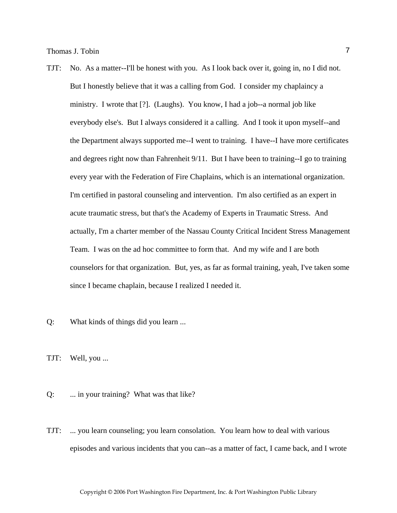- TJT: No. As a matter--I'll be honest with you. As I look back over it, going in, no I did not. But I honestly believe that it was a calling from God. I consider my chaplaincy a ministry. I wrote that [?]. (Laughs). You know, I had a job--a normal job like everybody else's. But I always considered it a calling. And I took it upon myself--and the Department always supported me--I went to training. I have--I have more certificates and degrees right now than Fahrenheit 9/11. But I have been to training--I go to training every year with the Federation of Fire Chaplains, which is an international organization. I'm certified in pastoral counseling and intervention. I'm also certified as an expert in acute traumatic stress, but that's the Academy of Experts in Traumatic Stress. And actually, I'm a charter member of the Nassau County Critical Incident Stress Management Team. I was on the ad hoc committee to form that. And my wife and I are both counselors for that organization. But, yes, as far as formal training, yeah, I've taken some since I became chaplain, because I realized I needed it.
- Q: What kinds of things did you learn ...

TJT: Well, you ...

Q: ... in your training? What was that like?

TJT: ... you learn counseling; you learn consolation. You learn how to deal with various episodes and various incidents that you can--as a matter of fact, I came back, and I wrote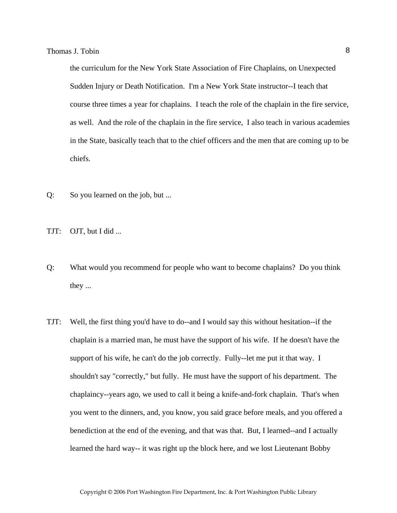the curriculum for the New York State Association of Fire Chaplains, on Unexpected Sudden Injury or Death Notification. I'm a New York State instructor--I teach that course three times a year for chaplains. I teach the role of the chaplain in the fire service, as well. And the role of the chaplain in the fire service, I also teach in various academies in the State, basically teach that to the chief officers and the men that are coming up to be chiefs.

- Q: So you learned on the job, but ...
- TJT: OJT, but I did ...
- Q: What would you recommend for people who want to become chaplains? Do you think they ...
- TJT: Well, the first thing you'd have to do--and I would say this without hesitation--if the chaplain is a married man, he must have the support of his wife. If he doesn't have the support of his wife, he can't do the job correctly. Fully--let me put it that way. I shouldn't say "correctly," but fully. He must have the support of his department. The chaplaincy--years ago, we used to call it being a knife-and-fork chaplain. That's when you went to the dinners, and, you know, you said grace before meals, and you offered a benediction at the end of the evening, and that was that. But, I learned--and I actually learned the hard way-- it was right up the block here, and we lost Lieutenant Bobby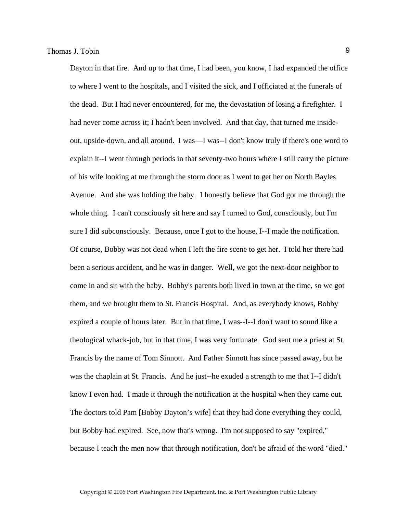Dayton in that fire. And up to that time, I had been, you know, I had expanded the office to where I went to the hospitals, and I visited the sick, and I officiated at the funerals of the dead. But I had never encountered, for me, the devastation of losing a firefighter. I had never come across it; I hadn't been involved. And that day, that turned me insideout, upside-down, and all around. I was—I was--I don't know truly if there's one word to explain it--I went through periods in that seventy-two hours where I still carry the picture of his wife looking at me through the storm door as I went to get her on North Bayles Avenue. And she was holding the baby. I honestly believe that God got me through the whole thing. I can't consciously sit here and say I turned to God, consciously, but I'm sure I did subconsciously. Because, once I got to the house, I--I made the notification. Of course, Bobby was not dead when I left the fire scene to get her. I told her there had been a serious accident, and he was in danger. Well, we got the next-door neighbor to come in and sit with the baby. Bobby's parents both lived in town at the time, so we got them, and we brought them to St. Francis Hospital. And, as everybody knows, Bobby expired a couple of hours later. But in that time, I was--I--I don't want to sound like a theological whack-job, but in that time, I was very fortunate. God sent me a priest at St. Francis by the name of Tom Sinnott. And Father Sinnott has since passed away, but he was the chaplain at St. Francis. And he just--he exuded a strength to me that I--I didn't know I even had. I made it through the notification at the hospital when they came out. The doctors told Pam [Bobby Dayton's wife] that they had done everything they could, but Bobby had expired. See, now that's wrong. I'm not supposed to say "expired," because I teach the men now that through notification, don't be afraid of the word "died."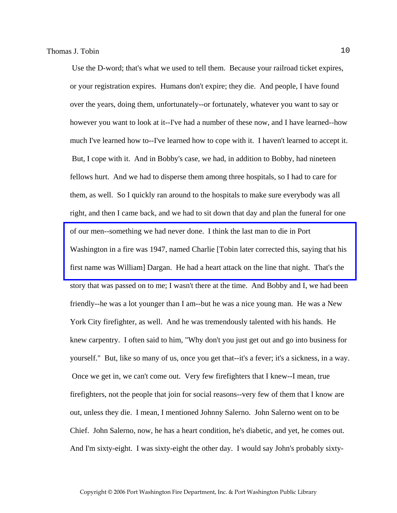Use the D-word; that's what we used to tell them. Because your railroad ticket expires, or your registration expires. Humans don't expire; they die. And people, I have found over the years, doing them, unfortunately--or fortunately, whatever you want to say or however you want to look at it--I've had a number of these now, and I have learned--how much I've learned how to--I've learned how to cope with it. I haven't learned to accept it. But, I cope with it. And in Bobby's case, we had, in addition to Bobby, had nineteen fellows hurt. And we had to disperse them among three hospitals, so I had to care for them, as well. So I quickly ran around to the hospitals to make sure everybody was all right, and then I came back, and we had to sit down that day and plan the funeral for one of our men--something we had never done. I think the last man to die in Port [Washington in a fire was 1947, named Charlie \[Tobin later corrected this, saying that his](http://www.pwfdhistory.com/trans/tobint_trans/pwfd_news058.pdf)  first name was William] Dargan. He had a heart attack on the line that night. That's the story that was passed on to me; I wasn't there at the time. And Bobby and I, we had been friendly--he was a lot younger than I am--but he was a nice young man. He was a New York City firefighter, as well. And he was tremendously talented with his hands. He knew carpentry. I often said to him, "Why don't you just get out and go into business for yourself." But, like so many of us, once you get that--it's a fever; it's a sickness, in a way. Once we get in, we can't come out. Very few firefighters that I knew--I mean, true firefighters, not the people that join for social reasons--very few of them that I know are out, unless they die. I mean, I mentioned Johnny Salerno. John Salerno went on to be Chief. John Salerno, now, he has a heart condition, he's diabetic, and yet, he comes out. And I'm sixty-eight. I was sixty-eight the other day. I would say John's probably sixty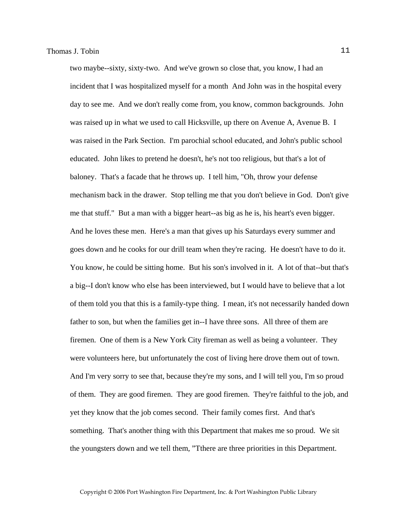two maybe--sixty, sixty-two. And we've grown so close that, you know, I had an incident that I was hospitalized myself for a month And John was in the hospital every day to see me. And we don't really come from, you know, common backgrounds. John was raised up in what we used to call Hicksville, up there on Avenue A, Avenue B. I was raised in the Park Section. I'm parochial school educated, and John's public school educated. John likes to pretend he doesn't, he's not too religious, but that's a lot of baloney. That's a facade that he throws up. I tell him, "Oh, throw your defense mechanism back in the drawer. Stop telling me that you don't believe in God. Don't give me that stuff." But a man with a bigger heart--as big as he is, his heart's even bigger. And he loves these men. Here's a man that gives up his Saturdays every summer and goes down and he cooks for our drill team when they're racing. He doesn't have to do it. You know, he could be sitting home. But his son's involved in it. A lot of that--but that's a big--I don't know who else has been interviewed, but I would have to believe that a lot of them told you that this is a family-type thing. I mean, it's not necessarily handed down father to son, but when the families get in--I have three sons. All three of them are firemen. One of them is a New York City fireman as well as being a volunteer. They were volunteers here, but unfortunately the cost of living here drove them out of town. And I'm very sorry to see that, because they're my sons, and I will tell you, I'm so proud of them. They are good firemen. They are good firemen. They're faithful to the job, and yet they know that the job comes second. Their family comes first. And that's something. That's another thing with this Department that makes me so proud. We sit the youngsters down and we tell them, "Tthere are three priorities in this Department.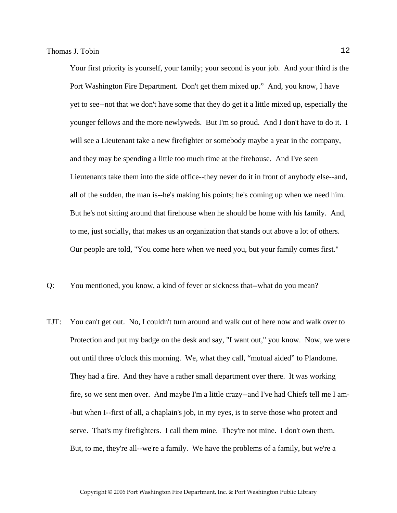Your first priority is yourself, your family; your second is your job. And your third is the Port Washington Fire Department. Don't get them mixed up." And, you know, I have yet to see--not that we don't have some that they do get it a little mixed up, especially the younger fellows and the more newlyweds. But I'm so proud. And I don't have to do it. I will see a Lieutenant take a new firefighter or somebody maybe a year in the company, and they may be spending a little too much time at the firehouse. And I've seen Lieutenants take them into the side office--they never do it in front of anybody else--and, all of the sudden, the man is--he's making his points; he's coming up when we need him. But he's not sitting around that firehouse when he should be home with his family. And, to me, just socially, that makes us an organization that stands out above a lot of others. Our people are told, "You come here when we need you, but your family comes first."

- Q: You mentioned, you know, a kind of fever or sickness that--what do you mean?
- TJT: You can't get out. No, I couldn't turn around and walk out of here now and walk over to Protection and put my badge on the desk and say, "I want out," you know. Now, we were out until three o'clock this morning. We, what they call, "mutual aided" to Plandome. They had a fire. And they have a rather small department over there. It was working fire, so we sent men over. And maybe I'm a little crazy--and I've had Chiefs tell me I am- -but when I--first of all, a chaplain's job, in my eyes, is to serve those who protect and serve. That's my firefighters. I call them mine. They're not mine. I don't own them. But, to me, they're all--we're a family. We have the problems of a family, but we're a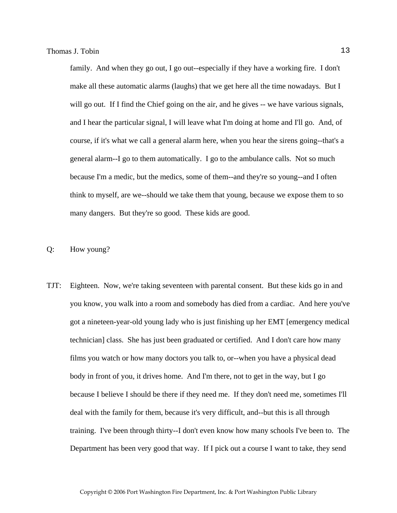family. And when they go out, I go out--especially if they have a working fire. I don't make all these automatic alarms (laughs) that we get here all the time nowadays. But I will go out. If I find the Chief going on the air, and he gives  $-$  we have various signals, and I hear the particular signal, I will leave what I'm doing at home and I'll go. And, of course, if it's what we call a general alarm here, when you hear the sirens going--that's a general alarm--I go to them automatically. I go to the ambulance calls. Not so much because I'm a medic, but the medics, some of them--and they're so young--and I often think to myself, are we--should we take them that young, because we expose them to so many dangers. But they're so good. These kids are good.

#### Q: How young?

TJT: Eighteen. Now, we're taking seventeen with parental consent. But these kids go in and you know, you walk into a room and somebody has died from a cardiac. And here you've got a nineteen-year-old young lady who is just finishing up her EMT [emergency medical technician] class. She has just been graduated or certified. And I don't care how many films you watch or how many doctors you talk to, or--when you have a physical dead body in front of you, it drives home. And I'm there, not to get in the way, but I go because I believe I should be there if they need me. If they don't need me, sometimes I'll deal with the family for them, because it's very difficult, and--but this is all through training. I've been through thirty--I don't even know how many schools I've been to. The Department has been very good that way. If I pick out a course I want to take, they send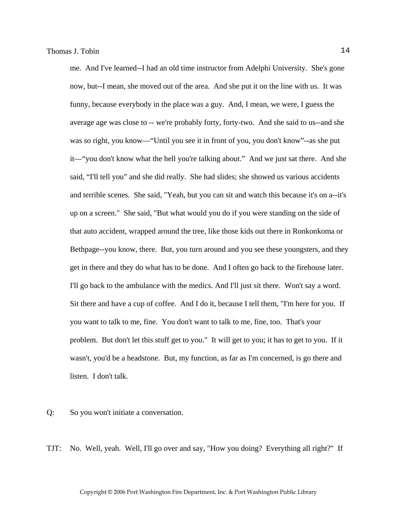me. And I've learned--I had an old time instructor from Adelphi University. She's gone now, but--I mean, she moved out of the area. And she put it on the line with us. It was funny, because everybody in the place was a guy. And, I mean, we were, I guess the average age was close to -- we're probably forty, forty-two. And she said to us--and she was so right, you know—"Until you see it in front of you, you don't know"--as she put it—"you don't know what the hell you're talking about." And we just sat there. And she said, "I'll tell you" and she did really. She had slides; she showed us various accidents and terrible scenes. She said, "Yeah, but you can sit and watch this because it's on a--it's up on a screen." She said, "But what would you do if you were standing on the side of that auto accident, wrapped around the tree, like those kids out there in Ronkonkoma or Bethpage--you know, there. But, you turn around and you see these youngsters, and they get in there and they do what has to be done. And I often go back to the firehouse later. I'll go back to the ambulance with the medics. And I'll just sit there. Won't say a word. Sit there and have a cup of coffee. And I do it, because I tell them, "I'm here for you. If you want to talk to me, fine. You don't want to talk to me, fine, too. That's your problem. But don't let this stuff get to you." It will get to you; it has to get to you. If it wasn't, you'd be a headstone. But, my function, as far as I'm concerned, is go there and listen. I don't talk.

- Q: So you won't initiate a conversation.
- TJT: No. Well, yeah. Well, I'll go over and say, "How you doing? Everything all right?" If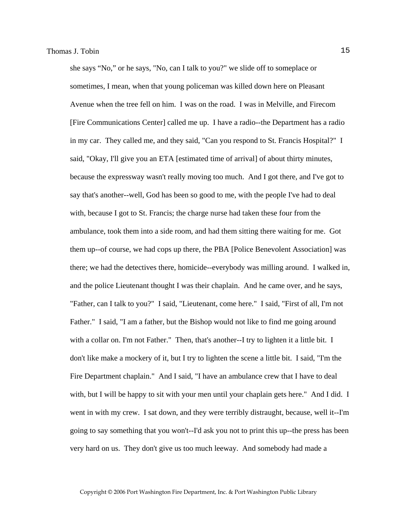she says "No," or he says, "No, can I talk to you?" we slide off to someplace or sometimes, I mean, when that young policeman was killed down here on Pleasant Avenue when the tree fell on him. I was on the road. I was in Melville, and Firecom [Fire Communications Center] called me up. I have a radio--the Department has a radio in my car. They called me, and they said, "Can you respond to St. Francis Hospital?" I said, "Okay, I'll give you an ETA [estimated time of arrival] of about thirty minutes, because the expressway wasn't really moving too much. And I got there, and I've got to say that's another--well, God has been so good to me, with the people I've had to deal with, because I got to St. Francis; the charge nurse had taken these four from the ambulance, took them into a side room, and had them sitting there waiting for me. Got them up--of course, we had cops up there, the PBA [Police Benevolent Association] was there; we had the detectives there, homicide--everybody was milling around. I walked in, and the police Lieutenant thought I was their chaplain. And he came over, and he says, "Father, can I talk to you?" I said, "Lieutenant, come here." I said, "First of all, I'm not Father." I said, "I am a father, but the Bishop would not like to find me going around with a collar on. I'm not Father." Then, that's another--I try to lighten it a little bit. I don't like make a mockery of it, but I try to lighten the scene a little bit. I said, "I'm the Fire Department chaplain." And I said, "I have an ambulance crew that I have to deal with, but I will be happy to sit with your men until your chaplain gets here." And I did. I went in with my crew. I sat down, and they were terribly distraught, because, well it--I'm going to say something that you won't--I'd ask you not to print this up--the press has been very hard on us. They don't give us too much leeway. And somebody had made a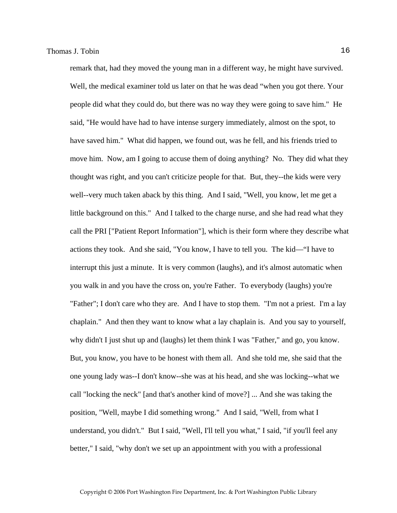remark that, had they moved the young man in a different way, he might have survived. Well, the medical examiner told us later on that he was dead "when you got there. Your people did what they could do, but there was no way they were going to save him." He said, "He would have had to have intense surgery immediately, almost on the spot, to have saved him." What did happen, we found out, was he fell, and his friends tried to move him. Now, am I going to accuse them of doing anything? No. They did what they thought was right, and you can't criticize people for that. But, they--the kids were very well--very much taken aback by this thing. And I said, "Well, you know, let me get a little background on this." And I talked to the charge nurse, and she had read what they call the PRI ["Patient Report Information"], which is their form where they describe what actions they took. And she said, "You know, I have to tell you. The kid—"I have to interrupt this just a minute. It is very common (laughs), and it's almost automatic when you walk in and you have the cross on, you're Father. To everybody (laughs) you're "Father"; I don't care who they are. And I have to stop them. "I'm not a priest. I'm a lay chaplain." And then they want to know what a lay chaplain is. And you say to yourself, why didn't I just shut up and (laughs) let them think I was "Father," and go, you know. But, you know, you have to be honest with them all. And she told me, she said that the one young lady was--I don't know--she was at his head, and she was locking--what we call "locking the neck" [and that's another kind of move?] ... And she was taking the position, "Well, maybe I did something wrong." And I said, "Well, from what I understand, you didn't." But I said, "Well, I'll tell you what," I said, "if you'll feel any better," I said, "why don't we set up an appointment with you with a professional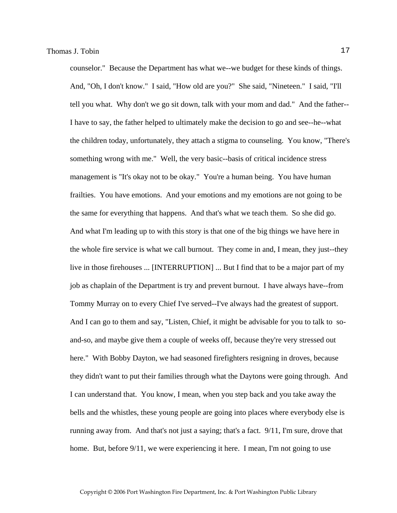counselor." Because the Department has what we--we budget for these kinds of things. And, "Oh, I don't know." I said, "How old are you?" She said, "Nineteen." I said, "I'll tell you what. Why don't we go sit down, talk with your mom and dad." And the father-- I have to say, the father helped to ultimately make the decision to go and see--he--what the children today, unfortunately, they attach a stigma to counseling. You know, "There's something wrong with me." Well, the very basic--basis of critical incidence stress management is "It's okay not to be okay." You're a human being. You have human frailties. You have emotions. And your emotions and my emotions are not going to be the same for everything that happens. And that's what we teach them. So she did go. And what I'm leading up to with this story is that one of the big things we have here in the whole fire service is what we call burnout. They come in and, I mean, they just--they live in those firehouses ... [INTERRUPTION] ... But I find that to be a major part of my job as chaplain of the Department is try and prevent burnout. I have always have--from Tommy Murray on to every Chief I've served--I've always had the greatest of support. And I can go to them and say, "Listen, Chief, it might be advisable for you to talk to soand-so, and maybe give them a couple of weeks off, because they're very stressed out here." With Bobby Dayton, we had seasoned firefighters resigning in droves, because they didn't want to put their families through what the Daytons were going through. And I can understand that. You know, I mean, when you step back and you take away the bells and the whistles, these young people are going into places where everybody else is running away from. And that's not just a saying; that's a fact. 9/11, I'm sure, drove that home. But, before  $9/11$ , we were experiencing it here. I mean, I'm not going to use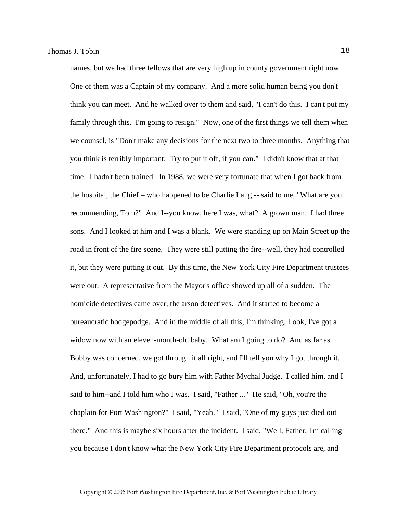names, but we had three fellows that are very high up in county government right now. One of them was a Captain of my company. And a more solid human being you don't think you can meet. And he walked over to them and said, "I can't do this. I can't put my family through this. I'm going to resign." Now, one of the first things we tell them when we counsel, is "Don't make any decisions for the next two to three months. Anything that you think is terribly important: Try to put it off, if you can." I didn't know that at that time. I hadn't been trained. In 1988, we were very fortunate that when I got back from the hospital, the Chief – who happened to be Charlie Lang -- said to me, "What are you recommending, Tom?" And I--you know, here I was, what? A grown man. I had three sons. And I looked at him and I was a blank. We were standing up on Main Street up the road in front of the fire scene. They were still putting the fire--well, they had controlled it, but they were putting it out. By this time, the New York City Fire Department trustees were out. A representative from the Mayor's office showed up all of a sudden. The homicide detectives came over, the arson detectives. And it started to become a bureaucratic hodgepodge. And in the middle of all this, I'm thinking, Look, I've got a widow now with an eleven-month-old baby. What am I going to do? And as far as Bobby was concerned, we got through it all right, and I'll tell you why I got through it. And, unfortunately, I had to go bury him with Father Mychal Judge. I called him, and I said to him--and I told him who I was. I said, "Father ..." He said, "Oh, you're the chaplain for Port Washington?" I said, "Yeah." I said, "One of my guys just died out there." And this is maybe six hours after the incident. I said, "Well, Father, I'm calling you because I don't know what the New York City Fire Department protocols are, and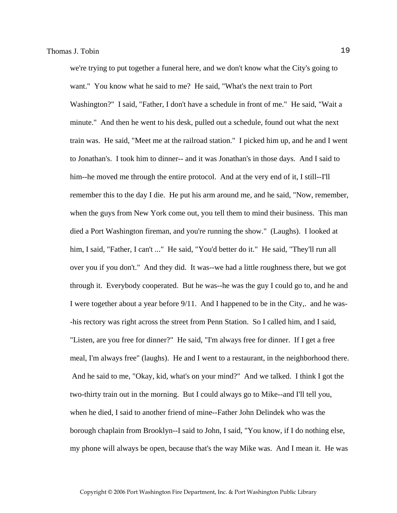we're trying to put together a funeral here, and we don't know what the City's going to want." You know what he said to me? He said, "What's the next train to Port Washington?" I said, "Father, I don't have a schedule in front of me." He said, "Wait a minute." And then he went to his desk, pulled out a schedule, found out what the next train was. He said, "Meet me at the railroad station." I picked him up, and he and I went to Jonathan's. I took him to dinner-- and it was Jonathan's in those days. And I said to him--he moved me through the entire protocol. And at the very end of it, I still--I'll remember this to the day I die. He put his arm around me, and he said, "Now, remember, when the guys from New York come out, you tell them to mind their business. This man died a Port Washington fireman, and you're running the show." (Laughs). I looked at him, I said, "Father, I can't ..." He said, "You'd better do it." He said, "They'll run all over you if you don't." And they did. It was--we had a little roughness there, but we got through it. Everybody cooperated. But he was--he was the guy I could go to, and he and I were together about a year before 9/11. And I happened to be in the City,. and he was- -his rectory was right across the street from Penn Station. So I called him, and I said, "Listen, are you free for dinner?" He said, "I'm always free for dinner. If I get a free meal, I'm always free" (laughs). He and I went to a restaurant, in the neighborhood there. And he said to me, "Okay, kid, what's on your mind?" And we talked. I think I got the two-thirty train out in the morning. But I could always go to Mike--and I'll tell you, when he died, I said to another friend of mine--Father John Delindek who was the borough chaplain from Brooklyn--I said to John, I said, "You know, if I do nothing else, my phone will always be open, because that's the way Mike was. And I mean it. He was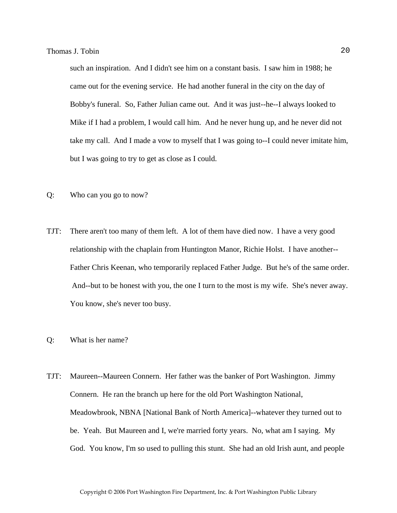such an inspiration. And I didn't see him on a constant basis. I saw him in 1988; he came out for the evening service. He had another funeral in the city on the day of Bobby's funeral. So, Father Julian came out. And it was just--he--I always looked to Mike if I had a problem, I would call him. And he never hung up, and he never did not take my call. And I made a vow to myself that I was going to--I could never imitate him, but I was going to try to get as close as I could.

- Q: Who can you go to now?
- TJT: There aren't too many of them left. A lot of them have died now. I have a very good relationship with the chaplain from Huntington Manor, Richie Holst. I have another-- Father Chris Keenan, who temporarily replaced Father Judge. But he's of the same order. And--but to be honest with you, the one I turn to the most is my wife. She's never away. You know, she's never too busy.
- Q: What is her name?
- TJT: Maureen--Maureen Connern. Her father was the banker of Port Washington. Jimmy Connern. He ran the branch up here for the old Port Washington National, Meadowbrook, NBNA [National Bank of North America]--whatever they turned out to be. Yeah. But Maureen and I, we're married forty years. No, what am I saying. My God. You know, I'm so used to pulling this stunt. She had an old Irish aunt, and people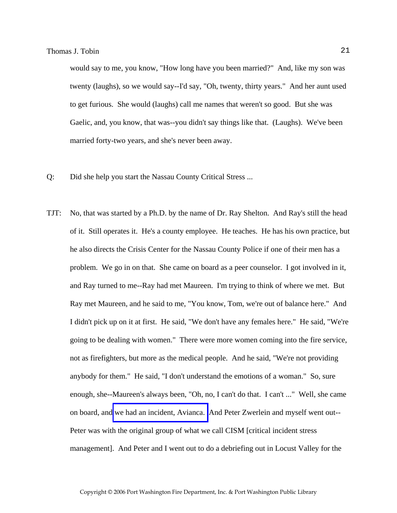would say to me, you know, "How long have you been married?" And, like my son was twenty (laughs), so we would say--I'd say, "Oh, twenty, thirty years." And her aunt used to get furious. She would (laughs) call me names that weren't so good. But she was Gaelic, and, you know, that was--you didn't say things like that. (Laughs). We've been married forty-two years, and she's never been away.

- Q: Did she help you start the Nassau County Critical Stress ...
- TJT: No, that was started by a Ph.D. by the name of Dr. Ray Shelton. And Ray's still the head of it. Still operates it. He's a county employee. He teaches. He has his own practice, but he also directs the Crisis Center for the Nassau County Police if one of their men has a problem. We go in on that. She came on board as a peer counselor. I got involved in it, and Ray turned to me--Ray had met Maureen. I'm trying to think of where we met. But Ray met Maureen, and he said to me, "You know, Tom, we're out of balance here." And I didn't pick up on it at first. He said, "We don't have any females here." He said, "We're going to be dealing with women." There were more women coming into the fire service, not as firefighters, but more as the medical people. And he said, "We're not providing anybody for them." He said, "I don't understand the emotions of a woman." So, sure enough, she--Maureen's always been, "Oh, no, I can't do that. I can't ..." Well, she came on board, and [we had an incident, Avianca.](http://www.pwfdhistory.com/trans/tobint_trans/pnews_avianca_pz.pdf) And Peter Zwerlein and myself went out-- Peter was with the original group of what we call CISM [critical incident stress management]. And Peter and I went out to do a debriefing out in Locust Valley for the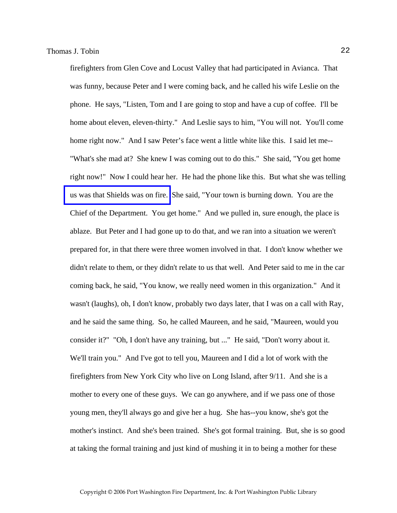firefighters from Glen Cove and Locust Valley that had participated in Avianca. That was funny, because Peter and I were coming back, and he called his wife Leslie on the phone. He says, "Listen, Tom and I are going to stop and have a cup of coffee. I'll be home about eleven, eleven-thirty." And Leslie says to him, "You will not. You'll come home right now." And I saw Peter's face went a little white like this. I said let me-- "What's she mad at? She knew I was coming out to do this." She said, "You get home right now!" Now I could hear her. He had the phone like this. But what she was telling [us was that Shields was on fire.](http://www.pwfdhistory.com/trans/tobint_trans/shieldshdw_pz.pdf) She said, "Your town is burning down. You are the Chief of the Department. You get home." And we pulled in, sure enough, the place is ablaze. But Peter and I had gone up to do that, and we ran into a situation we weren't prepared for, in that there were three women involved in that. I don't know whether we didn't relate to them, or they didn't relate to us that well. And Peter said to me in the car coming back, he said, "You know, we really need women in this organization." And it wasn't (laughs), oh, I don't know, probably two days later, that I was on a call with Ray, and he said the same thing. So, he called Maureen, and he said, "Maureen, would you consider it?" "Oh, I don't have any training, but ..." He said, "Don't worry about it. We'll train you." And I've got to tell you, Maureen and I did a lot of work with the firefighters from New York City who live on Long Island, after 9/11. And she is a mother to every one of these guys. We can go anywhere, and if we pass one of those young men, they'll always go and give her a hug. She has--you know, she's got the mother's instinct. And she's been trained. She's got formal training. But, she is so good at taking the formal training and just kind of mushing it in to being a mother for these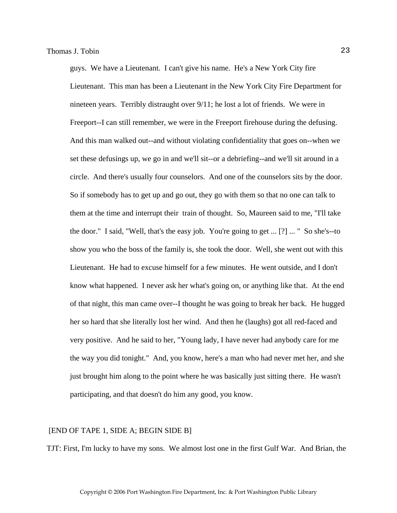guys. We have a Lieutenant. I can't give his name. He's a New York City fire Lieutenant. This man has been a Lieutenant in the New York City Fire Department for nineteen years. Terribly distraught over 9/11; he lost a lot of friends. We were in Freeport--I can still remember, we were in the Freeport firehouse during the defusing. And this man walked out--and without violating confidentiality that goes on--when we set these defusings up, we go in and we'll sit--or a debriefing--and we'll sit around in a circle. And there's usually four counselors. And one of the counselors sits by the door. So if somebody has to get up and go out, they go with them so that no one can talk to them at the time and interrupt their train of thought. So, Maureen said to me, "I'll take the door." I said, "Well, that's the easy job. You're going to get ... [?] ... " So she's--to show you who the boss of the family is, she took the door. Well, she went out with this Lieutenant. He had to excuse himself for a few minutes. He went outside, and I don't know what happened. I never ask her what's going on, or anything like that. At the end of that night, this man came over--I thought he was going to break her back. He hugged her so hard that she literally lost her wind. And then he (laughs) got all red-faced and very positive. And he said to her, "Young lady, I have never had anybody care for me the way you did tonight." And, you know, here's a man who had never met her, and she just brought him along to the point where he was basically just sitting there. He wasn't participating, and that doesn't do him any good, you know.

#### [END OF TAPE 1, SIDE A; BEGIN SIDE B]

TJT: First, I'm lucky to have my sons. We almost lost one in the first Gulf War. And Brian, the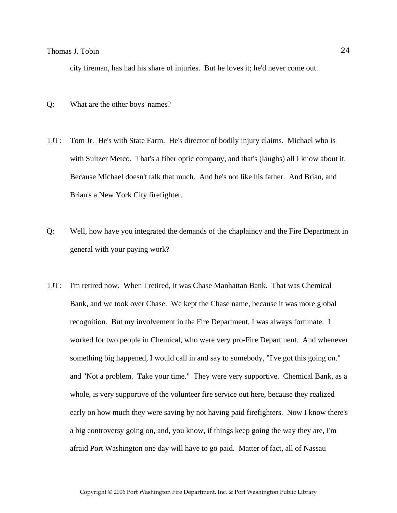### Thomas J. Tobin 24

city fireman, has had his share of injuries. But he loves it; he'd never come out.

- Q: What are the other boys' names?
- TJT: Tom Jr. He's with State Farm. He's director of bodily injury claims. Michael who is with Sultzer Metco. That's a fiber optic company, and that's (laughs) all I know about it. Because Michael doesn't talk that much. And he's not like his father. And Brian, and Brian's a New York City firefighter.
- Q: Well, how have you integrated the demands of the chaplaincy and the Fire Department in general with your paying work?
- TJT: I'm retired now. When I retired, it was Chase Manhattan Bank. That was Chemical Bank, and we took over Chase. We kept the Chase name, because it was more global recognition. But my involvement in the Fire Department, I was always fortunate. I worked for two people in Chemical, who were very pro-Fire Department. And whenever something big happened, I would call in and say to somebody, "I've got this going on." and "Not a problem. Take your time." They were very supportive. Chemical Bank, as a whole, is very supportive of the volunteer fire service out here, because they realized early on how much they were saving by not having paid firefighters. Now I know there's a big controversy going on, and, you know, if things keep going the way they are, I'm afraid Port Washington one day will have to go paid. Matter of fact, all of Nassau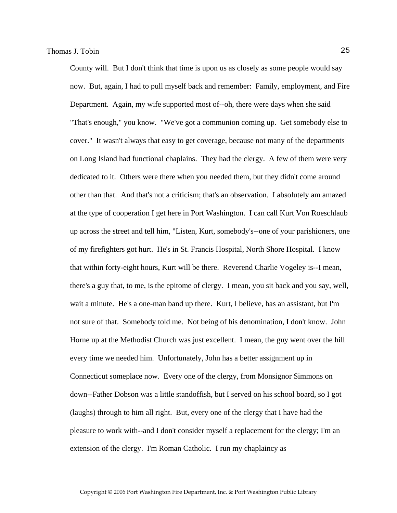County will. But I don't think that time is upon us as closely as some people would say now. But, again, I had to pull myself back and remember: Family, employment, and Fire Department. Again, my wife supported most of--oh, there were days when she said "That's enough," you know. "We've got a communion coming up. Get somebody else to cover." It wasn't always that easy to get coverage, because not many of the departments on Long Island had functional chaplains. They had the clergy. A few of them were very dedicated to it. Others were there when you needed them, but they didn't come around other than that. And that's not a criticism; that's an observation. I absolutely am amazed at the type of cooperation I get here in Port Washington. I can call Kurt Von Roeschlaub up across the street and tell him, "Listen, Kurt, somebody's--one of your parishioners, one of my firefighters got hurt. He's in St. Francis Hospital, North Shore Hospital. I know that within forty-eight hours, Kurt will be there. Reverend Charlie Vogeley is--I mean, there's a guy that, to me, is the epitome of clergy. I mean, you sit back and you say, well, wait a minute. He's a one-man band up there. Kurt, I believe, has an assistant, but I'm not sure of that. Somebody told me. Not being of his denomination, I don't know. John Horne up at the Methodist Church was just excellent. I mean, the guy went over the hill every time we needed him. Unfortunately, John has a better assignment up in Connecticut someplace now. Every one of the clergy, from Monsignor Simmons on down--Father Dobson was a little standoffish, but I served on his school board, so I got (laughs) through to him all right. But, every one of the clergy that I have had the pleasure to work with--and I don't consider myself a replacement for the clergy; I'm an extension of the clergy. I'm Roman Catholic. I run my chaplaincy as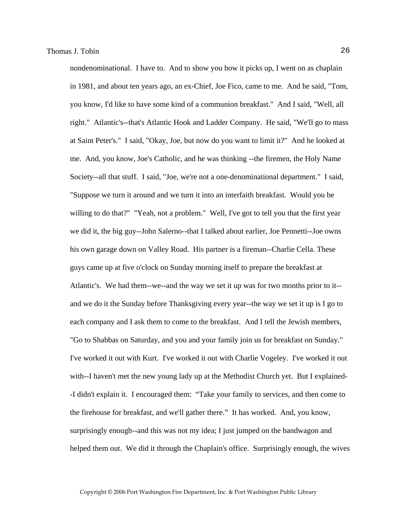nondenominational. I have to. And to show you how it picks up, I went on as chaplain in 1981, and about ten years ago, an ex-Chief, Joe Fico, came to me. And he said, "Tom, you know, I'd like to have some kind of a communion breakfast." And I said, "Well, all right." Atlantic's--that's Atlantic Hook and Ladder Company. He said, "We'll go to mass at Saint Peter's." I said, "Okay, Joe, but now do you want to limit it?" And he looked at me. And, you know, Joe's Catholic, and he was thinking --the firemen, the Holy Name Society--all that stuff. I said, "Joe, we're not a one-denominational department." I said, "Suppose we turn it around and we turn it into an interfaith breakfast. Would you be willing to do that?" "Yeah, not a problem." Well, I've got to tell you that the first year we did it, the big guy--John Salerno--that I talked about earlier, Joe Pennetti--Joe owns his own garage down on Valley Road. His partner is a fireman--Charlie Cella. These guys came up at five o'clock on Sunday morning itself to prepare the breakfast at Atlantic's. We had them--we--and the way we set it up was for two months prior to it- and we do it the Sunday before Thanksgiving every year--the way we set it up is I go to each company and I ask them to come to the breakfast. And I tell the Jewish members, "Go to Shabbas on Saturday, and you and your family join us for breakfast on Sunday." I've worked it out with Kurt. I've worked it out with Charlie Vogeley. I've worked it out with--I haven't met the new young lady up at the Methodist Church yet. But I explained- -I didn't explain it. I encouraged them: "Take your family to services, and then come to the firehouse for breakfast, and we'll gather there." It has worked. And, you know, surprisingly enough--and this was not my idea; I just jumped on the bandwagon and helped them out. We did it through the Chaplain's office. Surprisingly enough, the wives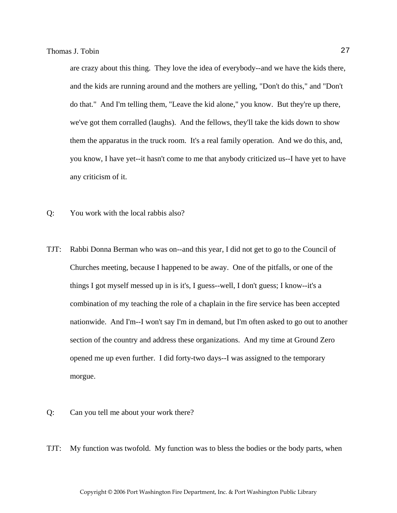are crazy about this thing. They love the idea of everybody--and we have the kids there, and the kids are running around and the mothers are yelling, "Don't do this," and "Don't do that." And I'm telling them, "Leave the kid alone," you know. But they're up there, we've got them corralled (laughs). And the fellows, they'll take the kids down to show them the apparatus in the truck room. It's a real family operation. And we do this, and, you know, I have yet--it hasn't come to me that anybody criticized us--I have yet to have any criticism of it.

- Q: You work with the local rabbis also?
- TJT: Rabbi Donna Berman who was on--and this year, I did not get to go to the Council of Churches meeting, because I happened to be away. One of the pitfalls, or one of the things I got myself messed up in is it's, I guess--well, I don't guess; I know--it's a combination of my teaching the role of a chaplain in the fire service has been accepted nationwide. And I'm--I won't say I'm in demand, but I'm often asked to go out to another section of the country and address these organizations. And my time at Ground Zero opened me up even further. I did forty-two days--I was assigned to the temporary morgue.
- Q: Can you tell me about your work there?
- TJT: My function was twofold. My function was to bless the bodies or the body parts, when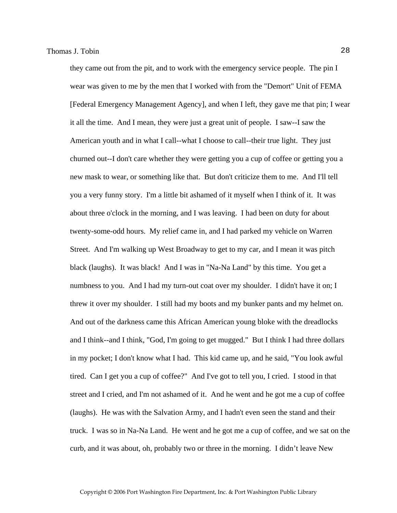they came out from the pit, and to work with the emergency service people. The pin I wear was given to me by the men that I worked with from the "Demort" Unit of FEMA [Federal Emergency Management Agency], and when I left, they gave me that pin; I wear it all the time. And I mean, they were just a great unit of people. I saw--I saw the American youth and in what I call--what I choose to call--their true light. They just churned out--I don't care whether they were getting you a cup of coffee or getting you a new mask to wear, or something like that. But don't criticize them to me. And I'll tell you a very funny story. I'm a little bit ashamed of it myself when I think of it. It was about three o'clock in the morning, and I was leaving. I had been on duty for about twenty-some-odd hours. My relief came in, and I had parked my vehicle on Warren Street. And I'm walking up West Broadway to get to my car, and I mean it was pitch black (laughs). It was black! And I was in "Na-Na Land" by this time. You get a numbness to you. And I had my turn-out coat over my shoulder. I didn't have it on; I threw it over my shoulder. I still had my boots and my bunker pants and my helmet on. And out of the darkness came this African American young bloke with the dreadlocks and I think--and I think, "God, I'm going to get mugged." But I think I had three dollars in my pocket; I don't know what I had. This kid came up, and he said, "You look awful tired. Can I get you a cup of coffee?" And I've got to tell you, I cried. I stood in that street and I cried, and I'm not ashamed of it. And he went and he got me a cup of coffee (laughs). He was with the Salvation Army, and I hadn't even seen the stand and their truck. I was so in Na-Na Land. He went and he got me a cup of coffee, and we sat on the curb, and it was about, oh, probably two or three in the morning. I didn't leave New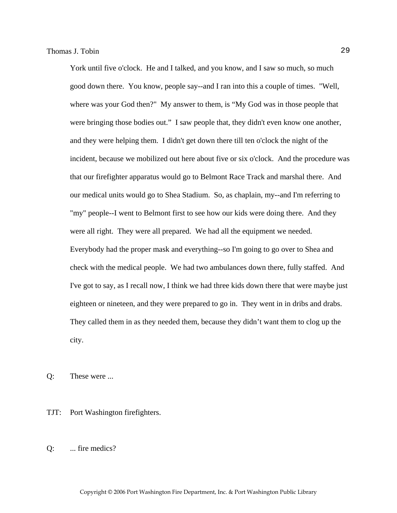York until five o'clock. He and I talked, and you know, and I saw so much, so much good down there. You know, people say--and I ran into this a couple of times. "Well, where was your God then?" My answer to them, is "My God was in those people that were bringing those bodies out." I saw people that, they didn't even know one another, and they were helping them. I didn't get down there till ten o'clock the night of the incident, because we mobilized out here about five or six o'clock. And the procedure was that our firefighter apparatus would go to Belmont Race Track and marshal there. And our medical units would go to Shea Stadium. So, as chaplain, my--and I'm referring to "my" people--I went to Belmont first to see how our kids were doing there. And they were all right. They were all prepared. We had all the equipment we needed. Everybody had the proper mask and everything--so I'm going to go over to Shea and check with the medical people. We had two ambulances down there, fully staffed. And I've got to say, as I recall now, I think we had three kids down there that were maybe just eighteen or nineteen, and they were prepared to go in. They went in in dribs and drabs. They called them in as they needed them, because they didn't want them to clog up the city.

Q: These were ...

TJT: Port Washington firefighters.

Q: ... fire medics?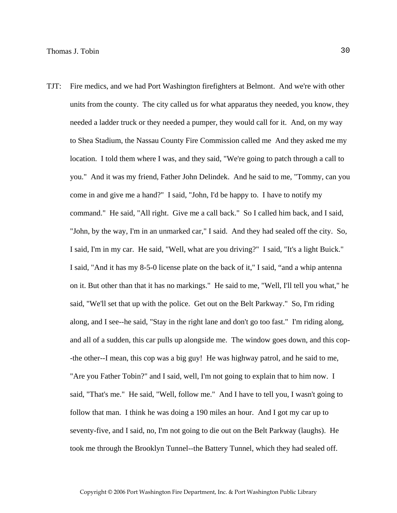TJT: Fire medics, and we had Port Washington firefighters at Belmont. And we're with other units from the county. The city called us for what apparatus they needed, you know, they needed a ladder truck or they needed a pumper, they would call for it. And, on my way to Shea Stadium, the Nassau County Fire Commission called me And they asked me my location. I told them where I was, and they said, "We're going to patch through a call to you." And it was my friend, Father John Delindek. And he said to me, "Tommy, can you come in and give me a hand?" I said, "John, I'd be happy to. I have to notify my command." He said, "All right. Give me a call back." So I called him back, and I said, "John, by the way, I'm in an unmarked car," I said. And they had sealed off the city. So, I said, I'm in my car. He said, "Well, what are you driving?" I said, "It's a light Buick." I said, "And it has my 8-5-0 license plate on the back of it," I said, "and a whip antenna on it. But other than that it has no markings." He said to me, "Well, I'll tell you what," he said, "We'll set that up with the police. Get out on the Belt Parkway." So, I'm riding along, and I see--he said, "Stay in the right lane and don't go too fast." I'm riding along, and all of a sudden, this car pulls up alongside me. The window goes down, and this cop- -the other--I mean, this cop was a big guy! He was highway patrol, and he said to me, "Are you Father Tobin?" and I said, well, I'm not going to explain that to him now. I said, "That's me." He said, "Well, follow me." And I have to tell you, I wasn't going to follow that man. I think he was doing a 190 miles an hour. And I got my car up to seventy-five, and I said, no, I'm not going to die out on the Belt Parkway (laughs). He took me through the Brooklyn Tunnel--the Battery Tunnel, which they had sealed off.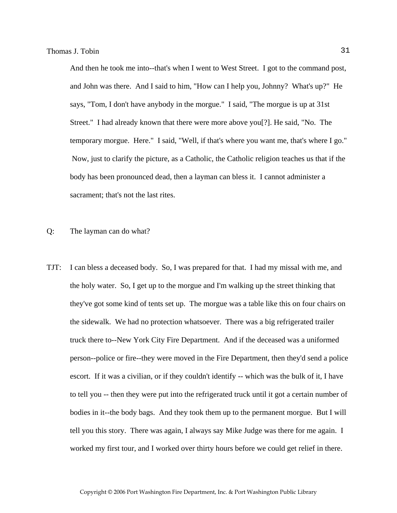And then he took me into--that's when I went to West Street. I got to the command post, and John was there. And I said to him, "How can I help you, Johnny? What's up?" He says, "Tom, I don't have anybody in the morgue." I said, "The morgue is up at 31st Street." I had already known that there were more above you[?]. He said, "No. The temporary morgue. Here." I said, "Well, if that's where you want me, that's where I go." Now, just to clarify the picture, as a Catholic, the Catholic religion teaches us that if the body has been pronounced dead, then a layman can bless it. I cannot administer a sacrament; that's not the last rites.

Q: The layman can do what?

TJT: I can bless a deceased body. So, I was prepared for that. I had my missal with me, and the holy water. So, I get up to the morgue and I'm walking up the street thinking that they've got some kind of tents set up. The morgue was a table like this on four chairs on the sidewalk. We had no protection whatsoever. There was a big refrigerated trailer truck there to--New York City Fire Department. And if the deceased was a uniformed person--police or fire--they were moved in the Fire Department, then they'd send a police escort. If it was a civilian, or if they couldn't identify -- which was the bulk of it, I have to tell you -- then they were put into the refrigerated truck until it got a certain number of bodies in it--the body bags. And they took them up to the permanent morgue. But I will tell you this story. There was again, I always say Mike Judge was there for me again. I worked my first tour, and I worked over thirty hours before we could get relief in there.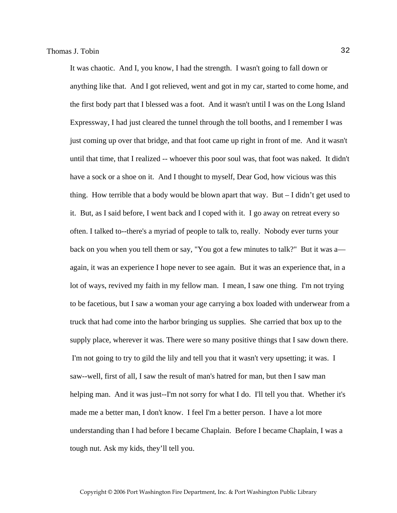It was chaotic. And I, you know, I had the strength. I wasn't going to fall down or anything like that. And I got relieved, went and got in my car, started to come home, and the first body part that I blessed was a foot. And it wasn't until I was on the Long Island Expressway, I had just cleared the tunnel through the toll booths, and I remember I was just coming up over that bridge, and that foot came up right in front of me. And it wasn't until that time, that I realized -- whoever this poor soul was, that foot was naked. It didn't have a sock or a shoe on it. And I thought to myself, Dear God, how vicious was this thing. How terrible that a body would be blown apart that way. But  $-1$  didn't get used to it. But, as I said before, I went back and I coped with it. I go away on retreat every so often. I talked to--there's a myriad of people to talk to, really. Nobody ever turns your back on you when you tell them or say, "You got a few minutes to talk?" But it was a again, it was an experience I hope never to see again. But it was an experience that, in a lot of ways, revived my faith in my fellow man. I mean, I saw one thing. I'm not trying to be facetious, but I saw a woman your age carrying a box loaded with underwear from a truck that had come into the harbor bringing us supplies. She carried that box up to the supply place, wherever it was. There were so many positive things that I saw down there. I'm not going to try to gild the lily and tell you that it wasn't very upsetting; it was. I saw--well, first of all, I saw the result of man's hatred for man, but then I saw man helping man. And it was just--I'm not sorry for what I do. I'll tell you that. Whether it's made me a better man, I don't know. I feel I'm a better person. I have a lot more understanding than I had before I became Chaplain. Before I became Chaplain, I was a tough nut. Ask my kids, they'll tell you.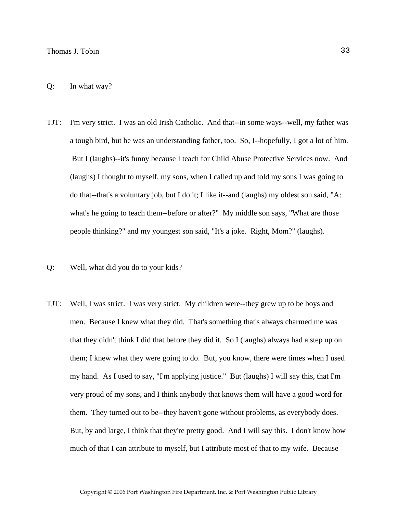- TJT: I'm very strict. I was an old Irish Catholic. And that--in some ways--well, my father was a tough bird, but he was an understanding father, too. So, I--hopefully, I got a lot of him. But I (laughs)--it's funny because I teach for Child Abuse Protective Services now. And (laughs) I thought to myself, my sons, when I called up and told my sons I was going to do that--that's a voluntary job, but I do it; I like it--and (laughs) my oldest son said, "A: what's he going to teach them--before or after?" My middle son says, "What are those people thinking?" and my youngest son said, "It's a joke. Right, Mom?" (laughs).
- Q: Well, what did you do to your kids?
- TJT: Well, I was strict. I was very strict. My children were--they grew up to be boys and men. Because I knew what they did. That's something that's always charmed me was that they didn't think I did that before they did it. So I (laughs) always had a step up on them; I knew what they were going to do. But, you know, there were times when I used my hand. As I used to say, "I'm applying justice." But (laughs) I will say this, that I'm very proud of my sons, and I think anybody that knows them will have a good word for them. They turned out to be--they haven't gone without problems, as everybody does. But, by and large, I think that they're pretty good. And I will say this. I don't know how much of that I can attribute to myself, but I attribute most of that to my wife. Because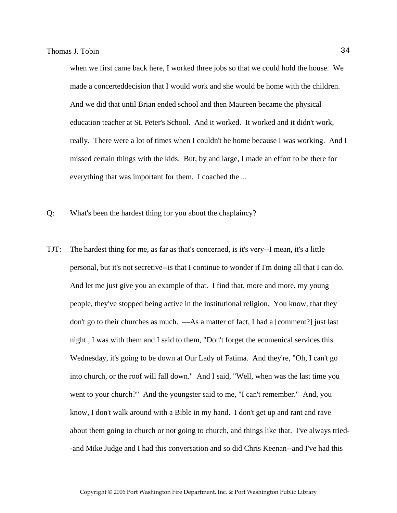when we first came back here, I worked three jobs so that we could hold the house. We made a concerteddecision that I would work and she would be home with the children. And we did that until Brian ended school and then Maureen became the physical education teacher at St. Peter's School. And it worked. It worked and it didn't work, really. There were a lot of times when I couldn't be home because I was working. And I missed certain things with the kids. But, by and large, I made an effort to be there for everything that was important for them. I coached the ...

- Q: What's been the hardest thing for you about the chaplaincy?
- TJT: The hardest thing for me, as far as that's concerned, is it's very--I mean, it's a little personal, but it's not secretive--is that I continue to wonder if I'm doing all that I can do. And let me just give you an example of that. I find that, more and more, my young people, they've stopped being active in the institutional religion. You know, that they don't go to their churches as much. —As a matter of fact, I had a [comment?] just last night , I was with them and I said to them, "Don't forget the ecumenical services this Wednesday, it's going to be down at Our Lady of Fatima. And they're, "Oh, I can't go into church, or the roof will fall down." And I said, "Well, when was the last time you went to your church?" And the youngster said to me, "I can't remember." And, you know, I don't walk around with a Bible in my hand. I don't get up and rant and rave about them going to church or not going to church, and things like that. I've always tried- -and Mike Judge and I had this conversation and so did Chris Keenan--and I've had this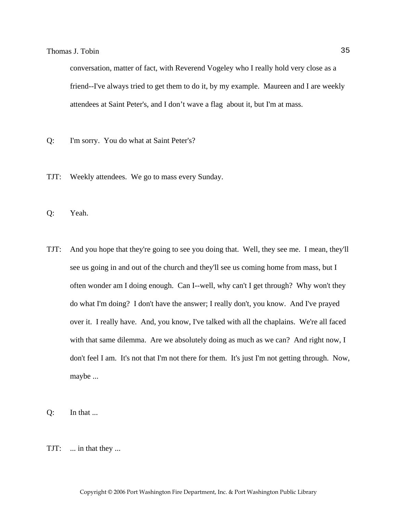conversation, matter of fact, with Reverend Vogeley who I really hold very close as a friend--I've always tried to get them to do it, by my example. Maureen and I are weekly attendees at Saint Peter's, and I don't wave a flag about it, but I'm at mass.

- Q: I'm sorry. You do what at Saint Peter's?
- TJT: Weekly attendees. We go to mass every Sunday.
- Q: Yeah.
- TJT: And you hope that they're going to see you doing that. Well, they see me. I mean, they'll see us going in and out of the church and they'll see us coming home from mass, but I often wonder am I doing enough. Can I--well, why can't I get through? Why won't they do what I'm doing? I don't have the answer; I really don't, you know. And I've prayed over it. I really have. And, you know, I've talked with all the chaplains. We're all faced with that same dilemma. Are we absolutely doing as much as we can? And right now, I don't feel I am. It's not that I'm not there for them. It's just I'm not getting through. Now, maybe ...
- Q: In that ...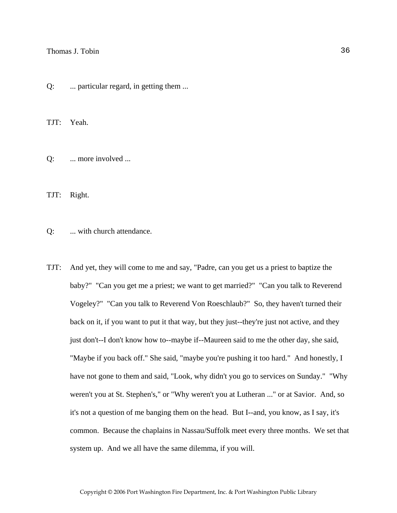Q: ... particular regard, in getting them ...

TJT: Yeah.

Q: ... more involved ...

TJT: Right.

Q: ... with church attendance.

TJT: And yet, they will come to me and say, "Padre, can you get us a priest to baptize the baby?" "Can you get me a priest; we want to get married?" "Can you talk to Reverend Vogeley?" "Can you talk to Reverend Von Roeschlaub?" So, they haven't turned their back on it, if you want to put it that way, but they just--they're just not active, and they just don't--I don't know how to--maybe if--Maureen said to me the other day, she said, "Maybe if you back off." She said, "maybe you're pushing it too hard." And honestly, I have not gone to them and said, "Look, why didn't you go to services on Sunday." "Why weren't you at St. Stephen's," or "Why weren't you at Lutheran ..." or at Savior. And, so it's not a question of me banging them on the head. But I--and, you know, as I say, it's common. Because the chaplains in Nassau/Suffolk meet every three months. We set that system up. And we all have the same dilemma, if you will.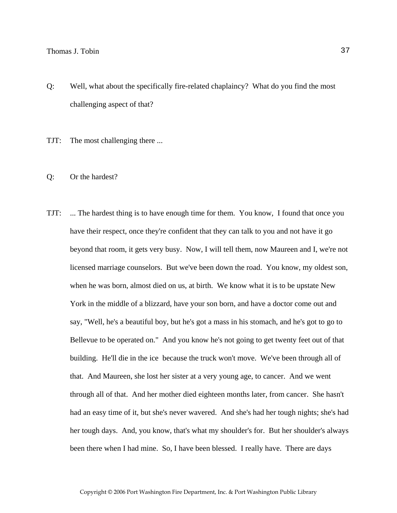- Q: Well, what about the specifically fire-related chaplaincy? What do you find the most challenging aspect of that?
- TJT: The most challenging there ...
- Q: Or the hardest?
- TJT: ... The hardest thing is to have enough time for them. You know, I found that once you have their respect, once they're confident that they can talk to you and not have it go beyond that room, it gets very busy. Now, I will tell them, now Maureen and I, we're not licensed marriage counselors. But we've been down the road. You know, my oldest son, when he was born, almost died on us, at birth. We know what it is to be upstate New York in the middle of a blizzard, have your son born, and have a doctor come out and say, "Well, he's a beautiful boy, but he's got a mass in his stomach, and he's got to go to Bellevue to be operated on." And you know he's not going to get twenty feet out of that building. He'll die in the ice because the truck won't move. We've been through all of that. And Maureen, she lost her sister at a very young age, to cancer. And we went through all of that. And her mother died eighteen months later, from cancer. She hasn't had an easy time of it, but she's never wavered. And she's had her tough nights; she's had her tough days. And, you know, that's what my shoulder's for. But her shoulder's always been there when I had mine. So, I have been blessed. I really have. There are days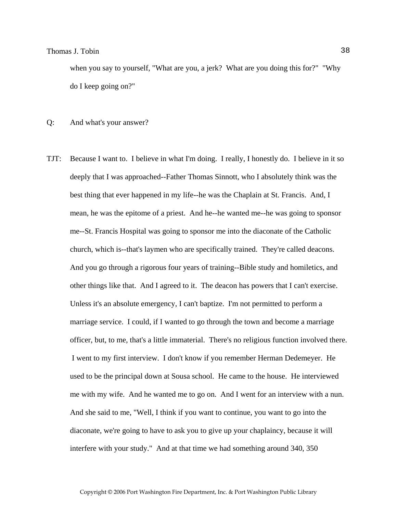when you say to yourself, "What are you, a jerk? What are you doing this for?" "Why do I keep going on?"

#### Q: And what's your answer?

TJT: Because I want to. I believe in what I'm doing. I really, I honestly do. I believe in it so deeply that I was approached--Father Thomas Sinnott, who I absolutely think was the best thing that ever happened in my life--he was the Chaplain at St. Francis. And, I mean, he was the epitome of a priest. And he--he wanted me--he was going to sponsor me--St. Francis Hospital was going to sponsor me into the diaconate of the Catholic church, which is--that's laymen who are specifically trained. They're called deacons. And you go through a rigorous four years of training--Bible study and homiletics, and other things like that. And I agreed to it. The deacon has powers that I can't exercise. Unless it's an absolute emergency, I can't baptize. I'm not permitted to perform a marriage service. I could, if I wanted to go through the town and become a marriage officer, but, to me, that's a little immaterial. There's no religious function involved there. I went to my first interview. I don't know if you remember Herman Dedemeyer. He used to be the principal down at Sousa school. He came to the house. He interviewed me with my wife. And he wanted me to go on. And I went for an interview with a nun. And she said to me, "Well, I think if you want to continue, you want to go into the diaconate, we're going to have to ask you to give up your chaplaincy, because it will interfere with your study." And at that time we had something around 340, 350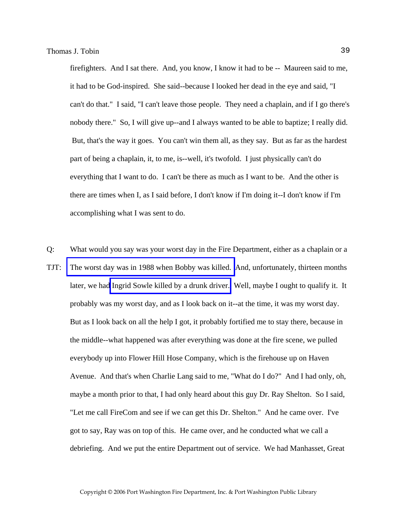firefighters. And I sat there. And, you know, I know it had to be -- Maureen said to me, it had to be God-inspired. She said--because I looked her dead in the eye and said, "I can't do that." I said, "I can't leave those people. They need a chaplain, and if I go there's nobody there." So, I will give up--and I always wanted to be able to baptize; I really did. But, that's the way it goes. You can't win them all, as they say. But as far as the hardest part of being a chaplain, it, to me, is--well, it's twofold. I just physically can't do everything that I want to do. I can't be there as much as I want to be. And the other is there are times when I, as I said before, I don't know if I'm doing it--I don't know if I'm accomplishing what I was sent to do.

Q: What would you say was your worst day in the Fire Department, either as a chaplain or a TJT: [The worst day was in 1988 when Bobby was killed.](http://www.pwfdhistory.com/trans/tobint_trans/nday881127_pz.pdf) And, unfortunately, thirteen months later, we had [Ingrid Sowle killed by a drunk driver.](http://www.pwfdhistory.com/trans/tobint_trans/sowle_pz.pdf) Well, maybe I ought to qualify it. It probably was my worst day, and as I look back on it--at the time, it was my worst day. But as I look back on all the help I got, it probably fortified me to stay there, because in the middle--what happened was after everything was done at the fire scene, we pulled everybody up into Flower Hill Hose Company, which is the firehouse up on Haven Avenue. And that's when Charlie Lang said to me, "What do I do?" And I had only, oh, maybe a month prior to that, I had only heard about this guy Dr. Ray Shelton. So I said, "Let me call FireCom and see if we can get this Dr. Shelton." And he came over. I've got to say, Ray was on top of this. He came over, and he conducted what we call a debriefing. And we put the entire Department out of service. We had Manhasset, Great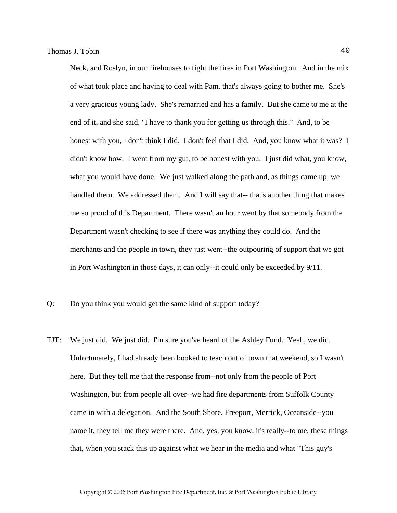Neck, and Roslyn, in our firehouses to fight the fires in Port Washington. And in the mix of what took place and having to deal with Pam, that's always going to bother me. She's a very gracious young lady. She's remarried and has a family. But she came to me at the end of it, and she said, "I have to thank you for getting us through this." And, to be honest with you, I don't think I did. I don't feel that I did. And, you know what it was? I didn't know how. I went from my gut, to be honest with you. I just did what, you know, what you would have done. We just walked along the path and, as things came up, we handled them. We addressed them. And I will say that-- that's another thing that makes me so proud of this Department. There wasn't an hour went by that somebody from the Department wasn't checking to see if there was anything they could do. And the merchants and the people in town, they just went--the outpouring of support that we got in Port Washington in those days, it can only--it could only be exceeded by 9/11.

- Q: Do you think you would get the same kind of support today?
- TJT: We just did. We just did. I'm sure you've heard of the Ashley Fund. Yeah, we did. Unfortunately, I had already been booked to teach out of town that weekend, so I wasn't here. But they tell me that the response from--not only from the people of Port Washington, but from people all over--we had fire departments from Suffolk County came in with a delegation. And the South Shore, Freeport, Merrick, Oceanside--you name it, they tell me they were there. And, yes, you know, it's really--to me, these things that, when you stack this up against what we hear in the media and what "This guy's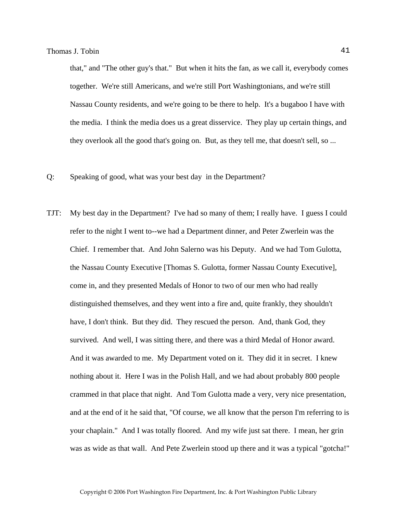that," and "The other guy's that." But when it hits the fan, as we call it, everybody comes together. We're still Americans, and we're still Port Washingtonians, and we're still Nassau County residents, and we're going to be there to help. It's a bugaboo I have with the media. I think the media does us a great disservice. They play up certain things, and they overlook all the good that's going on. But, as they tell me, that doesn't sell, so ...

- Q: Speaking of good, what was your best day in the Department?
- TJT: My best day in the Department? I've had so many of them; I really have. I guess I could refer to the night I went to--we had a Department dinner, and Peter Zwerlein was the Chief. I remember that. And John Salerno was his Deputy. And we had Tom Gulotta, the Nassau County Executive [Thomas S. Gulotta, former Nassau County Executive], come in, and they presented Medals of Honor to two of our men who had really distinguished themselves, and they went into a fire and, quite frankly, they shouldn't have, I don't think. But they did. They rescued the person. And, thank God, they survived. And well, I was sitting there, and there was a third Medal of Honor award. And it was awarded to me. My Department voted on it. They did it in secret. I knew nothing about it. Here I was in the Polish Hall, and we had about probably 800 people crammed in that place that night. And Tom Gulotta made a very, very nice presentation, and at the end of it he said that, "Of course, we all know that the person I'm referring to is your chaplain." And I was totally floored. And my wife just sat there. I mean, her grin was as wide as that wall. And Pete Zwerlein stood up there and it was a typical "gotcha!"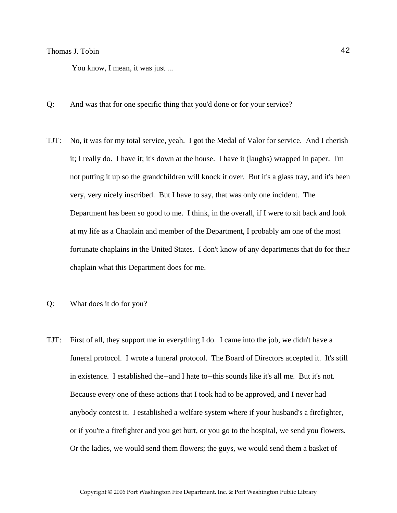You know, I mean, it was just ...

- Q: And was that for one specific thing that you'd done or for your service?
- TJT: No, it was for my total service, yeah. I got the Medal of Valor for service. And I cherish it; I really do. I have it; it's down at the house. I have it (laughs) wrapped in paper. I'm not putting it up so the grandchildren will knock it over. But it's a glass tray, and it's been very, very nicely inscribed. But I have to say, that was only one incident. The Department has been so good to me. I think, in the overall, if I were to sit back and look at my life as a Chaplain and member of the Department, I probably am one of the most fortunate chaplains in the United States. I don't know of any departments that do for their chaplain what this Department does for me.
- Q: What does it do for you?
- TJT: First of all, they support me in everything I do. I came into the job, we didn't have a funeral protocol. I wrote a funeral protocol. The Board of Directors accepted it. It's still in existence. I established the--and I hate to--this sounds like it's all me. But it's not. Because every one of these actions that I took had to be approved, and I never had anybody contest it. I established a welfare system where if your husband's a firefighter, or if you're a firefighter and you get hurt, or you go to the hospital, we send you flowers. Or the ladies, we would send them flowers; the guys, we would send them a basket of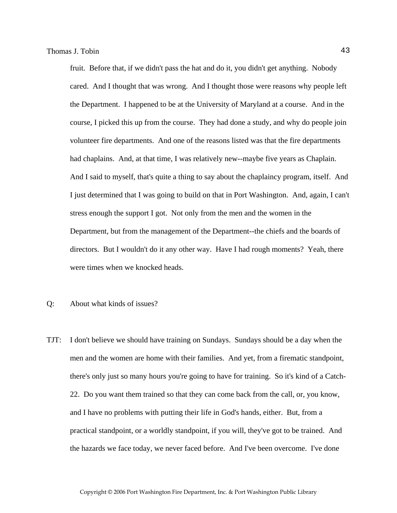fruit. Before that, if we didn't pass the hat and do it, you didn't get anything. Nobody cared. And I thought that was wrong. And I thought those were reasons why people left the Department. I happened to be at the University of Maryland at a course. And in the course, I picked this up from the course. They had done a study, and why do people join volunteer fire departments. And one of the reasons listed was that the fire departments had chaplains. And, at that time, I was relatively new--maybe five years as Chaplain. And I said to myself, that's quite a thing to say about the chaplaincy program, itself. And I just determined that I was going to build on that in Port Washington. And, again, I can't stress enough the support I got. Not only from the men and the women in the Department, but from the management of the Department--the chiefs and the boards of directors. But I wouldn't do it any other way. Have I had rough moments? Yeah, there were times when we knocked heads.

- Q: About what kinds of issues?
- TJT: I don't believe we should have training on Sundays. Sundays should be a day when the men and the women are home with their families. And yet, from a firematic standpoint, there's only just so many hours you're going to have for training. So it's kind of a Catch-22. Do you want them trained so that they can come back from the call, or, you know, and I have no problems with putting their life in God's hands, either. But, from a practical standpoint, or a worldly standpoint, if you will, they've got to be trained. And the hazards we face today, we never faced before. And I've been overcome. I've done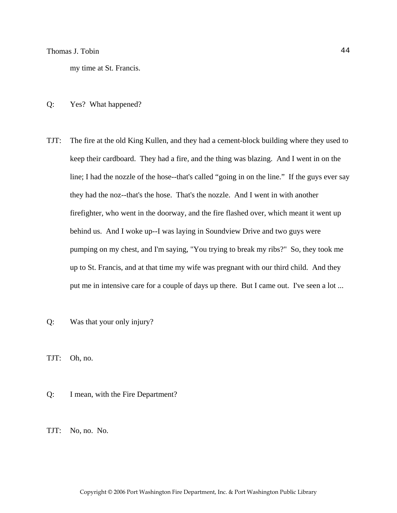my time at St. Francis.

#### Q: Yes? What happened?

TJT: The fire at the old King Kullen, and they had a cement-block building where they used to keep their cardboard. They had a fire, and the thing was blazing. And I went in on the line; I had the nozzle of the hose--that's called "going in on the line." If the guys ever say they had the noz--that's the hose. That's the nozzle. And I went in with another firefighter, who went in the doorway, and the fire flashed over, which meant it went up behind us. And I woke up--I was laying in Soundview Drive and two guys were pumping on my chest, and I'm saying, "You trying to break my ribs?" So, they took me up to St. Francis, and at that time my wife was pregnant with our third child. And they put me in intensive care for a couple of days up there. But I came out. I've seen a lot ...

Q: Was that your only injury?

TJT: Oh, no.

Q: I mean, with the Fire Department?

TJT: No, no. No.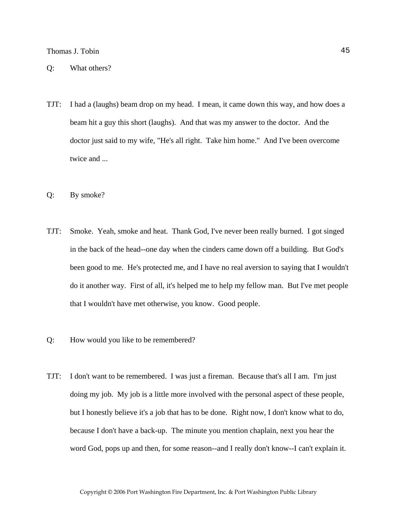- TJT: I had a (laughs) beam drop on my head. I mean, it came down this way, and how does a beam hit a guy this short (laughs). And that was my answer to the doctor. And the doctor just said to my wife, "He's all right. Take him home." And I've been overcome twice and ...
- Q: By smoke?
- TJT: Smoke. Yeah, smoke and heat. Thank God, I've never been really burned. I got singed in the back of the head--one day when the cinders came down off a building. But God's been good to me. He's protected me, and I have no real aversion to saying that I wouldn't do it another way. First of all, it's helped me to help my fellow man. But I've met people that I wouldn't have met otherwise, you know. Good people.
- Q: How would you like to be remembered?
- TJT: I don't want to be remembered. I was just a fireman. Because that's all I am. I'm just doing my job. My job is a little more involved with the personal aspect of these people, but I honestly believe it's a job that has to be done. Right now, I don't know what to do, because I don't have a back-up. The minute you mention chaplain, next you hear the word God, pops up and then, for some reason--and I really don't know--I can't explain it.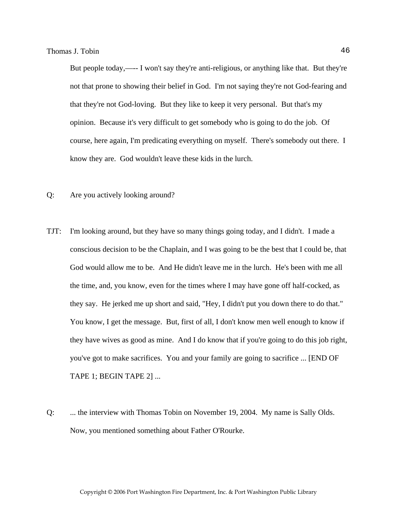But people today,—-- I won't say they're anti-religious, or anything like that. But they're not that prone to showing their belief in God. I'm not saying they're not God-fearing and that they're not God-loving. But they like to keep it very personal. But that's my opinion. Because it's very difficult to get somebody who is going to do the job. Of course, here again, I'm predicating everything on myself. There's somebody out there. I know they are. God wouldn't leave these kids in the lurch.

- Q: Are you actively looking around?
- TJT: I'm looking around, but they have so many things going today, and I didn't. I made a conscious decision to be the Chaplain, and I was going to be the best that I could be, that God would allow me to be. And He didn't leave me in the lurch. He's been with me all the time, and, you know, even for the times where I may have gone off half-cocked, as they say. He jerked me up short and said, "Hey, I didn't put you down there to do that." You know, I get the message. But, first of all, I don't know men well enough to know if they have wives as good as mine. And I do know that if you're going to do this job right, you've got to make sacrifices. You and your family are going to sacrifice ... [END OF TAPE 1; BEGIN TAPE 2] ...
- Q: ... the interview with Thomas Tobin on November 19, 2004. My name is Sally Olds. Now, you mentioned something about Father O'Rourke.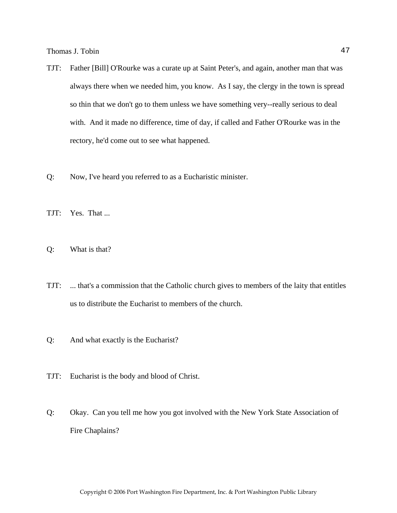- TJT: Father [Bill] O'Rourke was a curate up at Saint Peter's, and again, another man that was always there when we needed him, you know. As I say, the clergy in the town is spread so thin that we don't go to them unless we have something very--really serious to deal with. And it made no difference, time of day, if called and Father O'Rourke was in the rectory, he'd come out to see what happened.
- Q: Now, I've heard you referred to as a Eucharistic minister.
- TJT: Yes. That ...
- Q: What is that?
- TJT: ... that's a commission that the Catholic church gives to members of the laity that entitles us to distribute the Eucharist to members of the church.
- Q: And what exactly is the Eucharist?
- TJT: Eucharist is the body and blood of Christ.
- Q: Okay. Can you tell me how you got involved with the New York State Association of Fire Chaplains?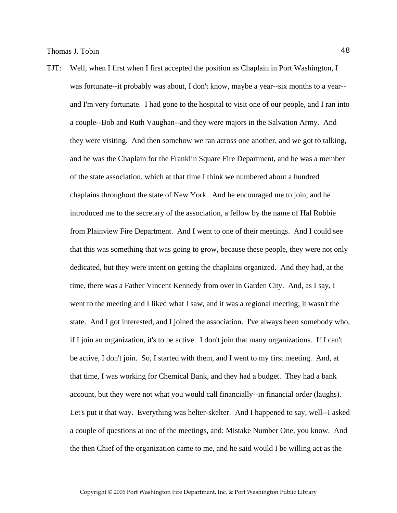TJT: Well, when I first when I first accepted the position as Chaplain in Port Washington, I was fortunate--it probably was about, I don't know, maybe a year--six months to a year- and I'm very fortunate. I had gone to the hospital to visit one of our people, and I ran into a couple--Bob and Ruth Vaughan--and they were majors in the Salvation Army. And they were visiting. And then somehow we ran across one another, and we got to talking, and he was the Chaplain for the Franklin Square Fire Department, and he was a member of the state association, which at that time I think we numbered about a hundred chaplains throughout the state of New York. And he encouraged me to join, and he introduced me to the secretary of the association, a fellow by the name of Hal Robbie from Plainview Fire Department. And I went to one of their meetings. And I could see that this was something that was going to grow, because these people, they were not only dedicated, but they were intent on getting the chaplains organized. And they had, at the time, there was a Father Vincent Kennedy from over in Garden City. And, as I say, I went to the meeting and I liked what I saw, and it was a regional meeting; it wasn't the state. And I got interested, and I joined the association. I've always been somebody who, if I join an organization, it's to be active. I don't join that many organizations. If I can't be active, I don't join. So, I started with them, and I went to my first meeting. And, at that time, I was working for Chemical Bank, and they had a budget. They had a bank account, but they were not what you would call financially--in financial order (laughs). Let's put it that way. Everything was helter-skelter. And I happened to say, well--I asked a couple of questions at one of the meetings, and: Mistake Number One, you know. And the then Chief of the organization came to me, and he said would I be willing act as the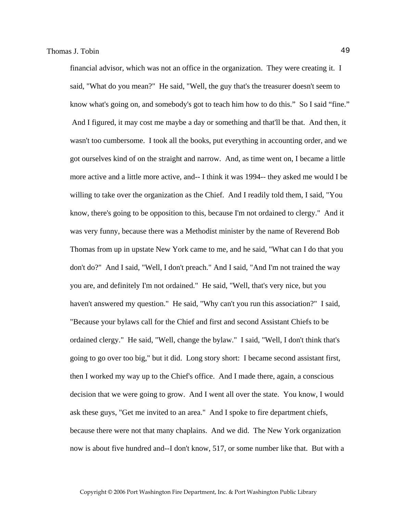financial advisor, which was not an office in the organization. They were creating it. I said, "What do you mean?" He said, "Well, the guy that's the treasurer doesn't seem to know what's going on, and somebody's got to teach him how to do this." So I said "fine." And I figured, it may cost me maybe a day or something and that'll be that. And then, it wasn't too cumbersome. I took all the books, put everything in accounting order, and we got ourselves kind of on the straight and narrow. And, as time went on, I became a little more active and a little more active, and-- I think it was 1994-- they asked me would I be willing to take over the organization as the Chief. And I readily told them, I said, "You know, there's going to be opposition to this, because I'm not ordained to clergy." And it was very funny, because there was a Methodist minister by the name of Reverend Bob Thomas from up in upstate New York came to me, and he said, "What can I do that you don't do?" And I said, "Well, I don't preach." And I said, "And I'm not trained the way you are, and definitely I'm not ordained." He said, "Well, that's very nice, but you haven't answered my question." He said, "Why can't you run this association?" I said, "Because your bylaws call for the Chief and first and second Assistant Chiefs to be ordained clergy." He said, "Well, change the bylaw." I said, "Well, I don't think that's going to go over too big," but it did. Long story short: I became second assistant first, then I worked my way up to the Chief's office. And I made there, again, a conscious decision that we were going to grow. And I went all over the state. You know, I would ask these guys, "Get me invited to an area." And I spoke to fire department chiefs, because there were not that many chaplains. And we did. The New York organization now is about five hundred and--I don't know, 517, or some number like that. But with a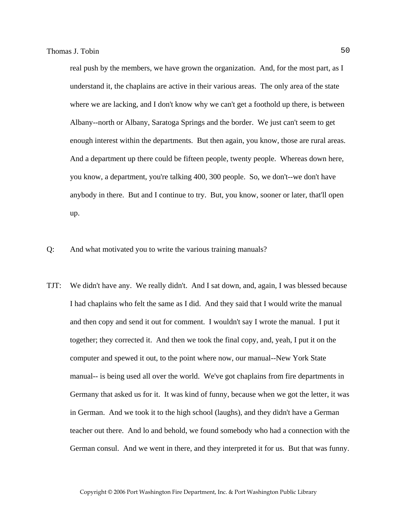real push by the members, we have grown the organization. And, for the most part, as I understand it, the chaplains are active in their various areas. The only area of the state where we are lacking, and I don't know why we can't get a foothold up there, is between Albany--north or Albany, Saratoga Springs and the border. We just can't seem to get enough interest within the departments. But then again, you know, those are rural areas. And a department up there could be fifteen people, twenty people. Whereas down here, you know, a department, you're talking 400, 300 people. So, we don't--we don't have anybody in there. But and I continue to try. But, you know, sooner or later, that'll open up.

- Q: And what motivated you to write the various training manuals?
- TJT: We didn't have any. We really didn't. And I sat down, and, again, I was blessed because I had chaplains who felt the same as I did. And they said that I would write the manual and then copy and send it out for comment. I wouldn't say I wrote the manual. I put it together; they corrected it. And then we took the final copy, and, yeah, I put it on the computer and spewed it out, to the point where now, our manual--New York State manual-- is being used all over the world. We've got chaplains from fire departments in Germany that asked us for it. It was kind of funny, because when we got the letter, it was in German. And we took it to the high school (laughs), and they didn't have a German teacher out there. And lo and behold, we found somebody who had a connection with the German consul. And we went in there, and they interpreted it for us. But that was funny.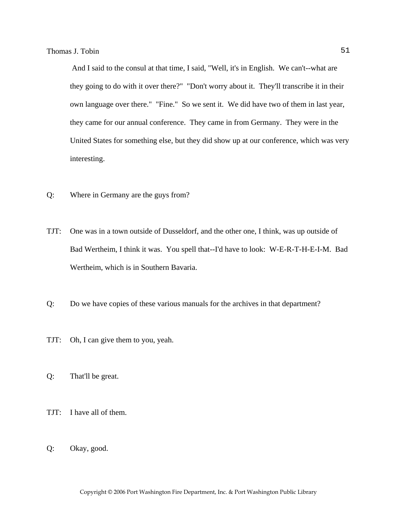And I said to the consul at that time, I said, "Well, it's in English. We can't--what are they going to do with it over there?" "Don't worry about it. They'll transcribe it in their own language over there." "Fine." So we sent it. We did have two of them in last year, they came for our annual conference. They came in from Germany. They were in the United States for something else, but they did show up at our conference, which was very interesting.

- Q: Where in Germany are the guys from?
- TJT: One was in a town outside of Dusseldorf, and the other one, I think, was up outside of Bad Wertheim, I think it was. You spell that--I'd have to look: W-E-R-T-H-E-I-M. Bad Wertheim, which is in Southern Bavaria.
- Q: Do we have copies of these various manuals for the archives in that department?
- TJT: Oh, I can give them to you, yeah.
- Q: That'll be great.
- TJT: I have all of them.
- Q: Okay, good.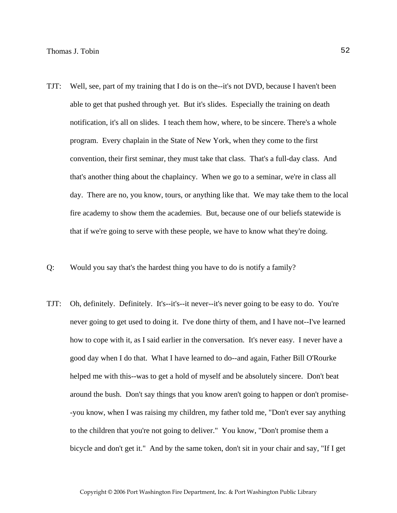- TJT: Well, see, part of my training that I do is on the--it's not DVD, because I haven't been able to get that pushed through yet. But it's slides. Especially the training on death notification, it's all on slides. I teach them how, where, to be sincere. There's a whole program. Every chaplain in the State of New York, when they come to the first convention, their first seminar, they must take that class. That's a full-day class. And that's another thing about the chaplaincy. When we go to a seminar, we're in class all day. There are no, you know, tours, or anything like that. We may take them to the local fire academy to show them the academies. But, because one of our beliefs statewide is that if we're going to serve with these people, we have to know what they're doing.
- Q: Would you say that's the hardest thing you have to do is notify a family?
- TJT: Oh, definitely. Definitely. It's--it's--it never--it's never going to be easy to do. You're never going to get used to doing it. I've done thirty of them, and I have not--I've learned how to cope with it, as I said earlier in the conversation. It's never easy. I never have a good day when I do that. What I have learned to do--and again, Father Bill O'Rourke helped me with this--was to get a hold of myself and be absolutely sincere. Don't beat around the bush. Don't say things that you know aren't going to happen or don't promise- -you know, when I was raising my children, my father told me, "Don't ever say anything to the children that you're not going to deliver." You know, "Don't promise them a bicycle and don't get it." And by the same token, don't sit in your chair and say, "If I get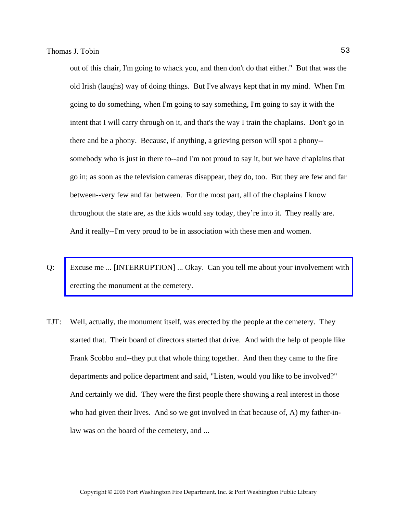out of this chair, I'm going to whack you, and then don't do that either." But that was the old Irish (laughs) way of doing things. But I've always kept that in my mind. When I'm going to do something, when I'm going to say something, I'm going to say it with the intent that I will carry through on it, and that's the way I train the chaplains. Don't go in there and be a phony. Because, if anything, a grieving person will spot a phony- somebody who is just in there to--and I'm not proud to say it, but we have chaplains that go in; as soon as the television cameras disappear, they do, too. But they are few and far between--very few and far between. For the most part, all of the chaplains I know throughout the state are, as the kids would say today, they're into it. They really are. And it really--I'm very proud to be in association with these men and women.

- Q: [Excuse me ... \[INTERRUPTION\] ... Okay. Can you tell me about your involvement with](http://www.pwfdhistory.com/trans/tobint_trans/pwfd_monumenta.pdf)  erecting the monument at the cemetery.
- TJT: Well, actually, the monument itself, was erected by the people at the cemetery. They started that. Their board of directors started that drive. And with the help of people like Frank Scobbo and--they put that whole thing together. And then they came to the fire departments and police department and said, "Listen, would you like to be involved?" And certainly we did. They were the first people there showing a real interest in those who had given their lives. And so we got involved in that because of, A) my father-inlaw was on the board of the cemetery, and ...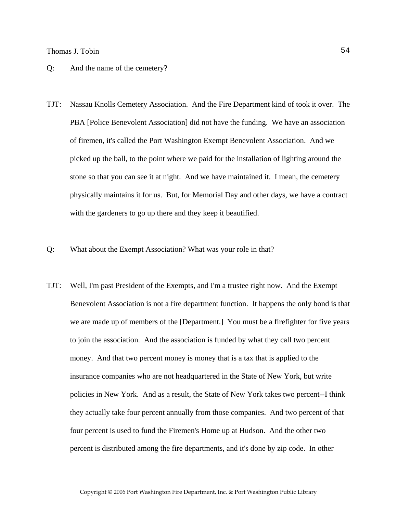#### Q: And the name of the cemetery?

- TJT: Nassau Knolls Cemetery Association. And the Fire Department kind of took it over. The PBA [Police Benevolent Association] did not have the funding. We have an association of firemen, it's called the Port Washington Exempt Benevolent Association. And we picked up the ball, to the point where we paid for the installation of lighting around the stone so that you can see it at night. And we have maintained it. I mean, the cemetery physically maintains it for us. But, for Memorial Day and other days, we have a contract with the gardeners to go up there and they keep it beautified.
- Q: What about the Exempt Association? What was your role in that?
- TJT: Well, I'm past President of the Exempts, and I'm a trustee right now. And the Exempt Benevolent Association is not a fire department function. It happens the only bond is that we are made up of members of the [Department.] You must be a firefighter for five years to join the association. And the association is funded by what they call two percent money. And that two percent money is money that is a tax that is applied to the insurance companies who are not headquartered in the State of New York, but write policies in New York. And as a result, the State of New York takes two percent--I think they actually take four percent annually from those companies. And two percent of that four percent is used to fund the Firemen's Home up at Hudson. And the other two percent is distributed among the fire departments, and it's done by zip code. In other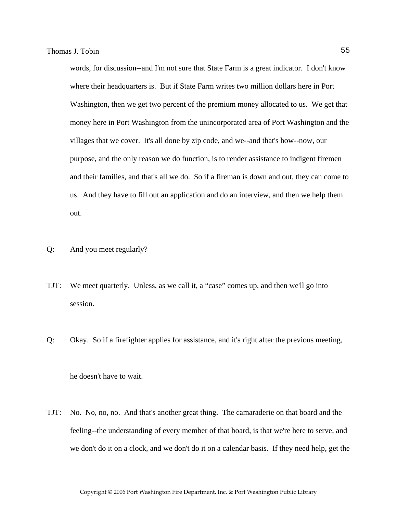words, for discussion--and I'm not sure that State Farm is a great indicator. I don't know where their headquarters is. But if State Farm writes two million dollars here in Port Washington, then we get two percent of the premium money allocated to us. We get that money here in Port Washington from the unincorporated area of Port Washington and the villages that we cover. It's all done by zip code, and we--and that's how--now, our purpose, and the only reason we do function, is to render assistance to indigent firemen and their families, and that's all we do. So if a fireman is down and out, they can come to us. And they have to fill out an application and do an interview, and then we help them out.

- Q: And you meet regularly?
- TJT: We meet quarterly. Unless, as we call it, a "case" comes up, and then we'll go into session.
- Q: Okay. So if a firefighter applies for assistance, and it's right after the previous meeting,

he doesn't have to wait.

TJT: No. No, no, no. And that's another great thing. The camaraderie on that board and the feeling--the understanding of every member of that board, is that we're here to serve, and we don't do it on a clock, and we don't do it on a calendar basis. If they need help, get the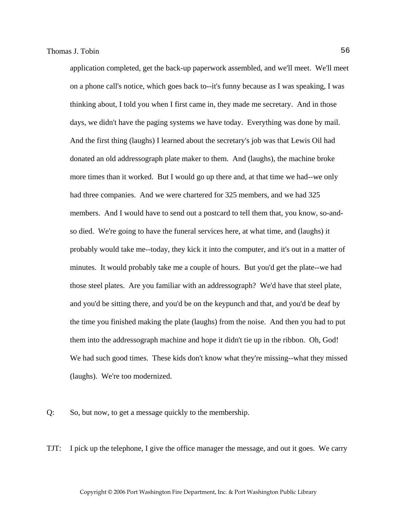application completed, get the back-up paperwork assembled, and we'll meet. We'll meet on a phone call's notice, which goes back to--it's funny because as I was speaking, I was thinking about, I told you when I first came in, they made me secretary. And in those days, we didn't have the paging systems we have today. Everything was done by mail. And the first thing (laughs) I learned about the secretary's job was that Lewis Oil had donated an old addressograph plate maker to them. And (laughs), the machine broke more times than it worked. But I would go up there and, at that time we had--we only had three companies. And we were chartered for 325 members, and we had 325 members. And I would have to send out a postcard to tell them that, you know, so-andso died. We're going to have the funeral services here, at what time, and (laughs) it probably would take me--today, they kick it into the computer, and it's out in a matter of minutes. It would probably take me a couple of hours. But you'd get the plate--we had those steel plates. Are you familiar with an addressograph? We'd have that steel plate, and you'd be sitting there, and you'd be on the keypunch and that, and you'd be deaf by the time you finished making the plate (laughs) from the noise. And then you had to put them into the addressograph machine and hope it didn't tie up in the ribbon. Oh, God! We had such good times. These kids don't know what they're missing--what they missed (laughs). We're too modernized.

Q: So, but now, to get a message quickly to the membership.

TJT: I pick up the telephone, I give the office manager the message, and out it goes. We carry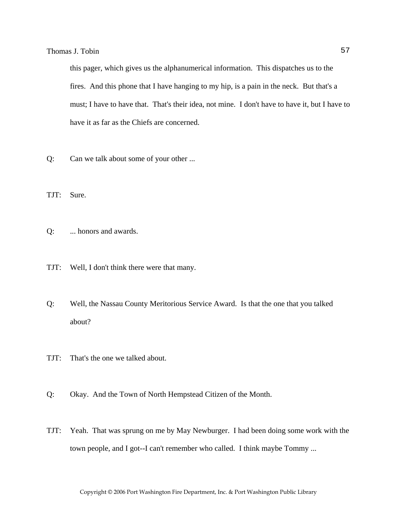this pager, which gives us the alphanumerical information. This dispatches us to the fires. And this phone that I have hanging to my hip, is a pain in the neck. But that's a must; I have to have that. That's their idea, not mine. I don't have to have it, but I have to have it as far as the Chiefs are concerned.

- Q: Can we talk about some of your other ...
- TJT: Sure.
- Q: ... honors and awards.
- TJT: Well, I don't think there were that many.
- Q: Well, the Nassau County Meritorious Service Award. Is that the one that you talked about?
- TJT: That's the one we talked about.
- Q: Okay. And the Town of North Hempstead Citizen of the Month.
- TJT: Yeah. That was sprung on me by May Newburger. I had been doing some work with the town people, and I got--I can't remember who called. I think maybe Tommy ...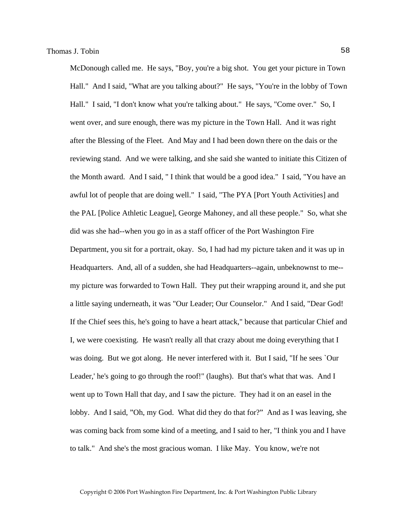McDonough called me. He says, "Boy, you're a big shot. You get your picture in Town Hall." And I said, "What are you talking about?" He says, "You're in the lobby of Town Hall." I said, "I don't know what you're talking about." He says, "Come over." So, I went over, and sure enough, there was my picture in the Town Hall. And it was right after the Blessing of the Fleet. And May and I had been down there on the dais or the reviewing stand. And we were talking, and she said she wanted to initiate this Citizen of the Month award. And I said, " I think that would be a good idea." I said, "You have an awful lot of people that are doing well." I said, "The PYA [Port Youth Activities] and the PAL [Police Athletic League], George Mahoney, and all these people." So, what she did was she had--when you go in as a staff officer of the Port Washington Fire Department, you sit for a portrait, okay. So, I had had my picture taken and it was up in Headquarters. And, all of a sudden, she had Headquarters--again, unbeknownst to me- my picture was forwarded to Town Hall. They put their wrapping around it, and she put a little saying underneath, it was "Our Leader; Our Counselor." And I said, "Dear God! If the Chief sees this, he's going to have a heart attack," because that particular Chief and I, we were coexisting. He wasn't really all that crazy about me doing everything that I was doing. But we got along. He never interfered with it. But I said, "If he sees `Our Leader,' he's going to go through the roof!" (laughs). But that's what that was. And I went up to Town Hall that day, and I saw the picture. They had it on an easel in the lobby. And I said, "Oh, my God. What did they do that for?" And as I was leaving, she was coming back from some kind of a meeting, and I said to her, "I think you and I have to talk." And she's the most gracious woman. I like May. You know, we're not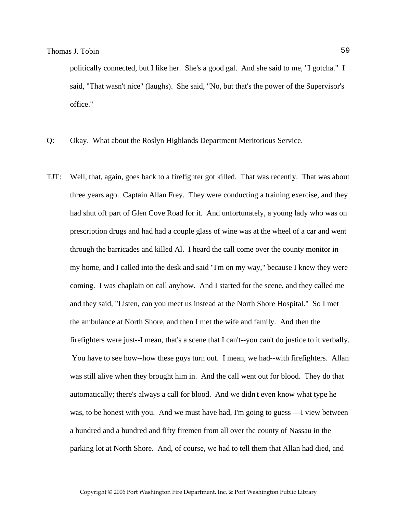politically connected, but I like her. She's a good gal. And she said to me, "I gotcha." I said, "That wasn't nice" (laughs). She said, "No, but that's the power of the Supervisor's office."

- Q: Okay. What about the Roslyn Highlands Department Meritorious Service.
- TJT: Well, that, again, goes back to a firefighter got killed. That was recently. That was about three years ago. Captain Allan Frey. They were conducting a training exercise, and they had shut off part of Glen Cove Road for it. And unfortunately, a young lady who was on prescription drugs and had had a couple glass of wine was at the wheel of a car and went through the barricades and killed Al. I heard the call come over the county monitor in my home, and I called into the desk and said "I'm on my way," because I knew they were coming. I was chaplain on call anyhow. And I started for the scene, and they called me and they said, "Listen, can you meet us instead at the North Shore Hospital." So I met the ambulance at North Shore, and then I met the wife and family. And then the firefighters were just--I mean, that's a scene that I can't--you can't do justice to it verbally. You have to see how--how these guys turn out. I mean, we had--with firefighters. Allan was still alive when they brought him in. And the call went out for blood. They do that automatically; there's always a call for blood. And we didn't even know what type he was, to be honest with you. And we must have had, I'm going to guess —I view between a hundred and a hundred and fifty firemen from all over the county of Nassau in the parking lot at North Shore. And, of course, we had to tell them that Allan had died, and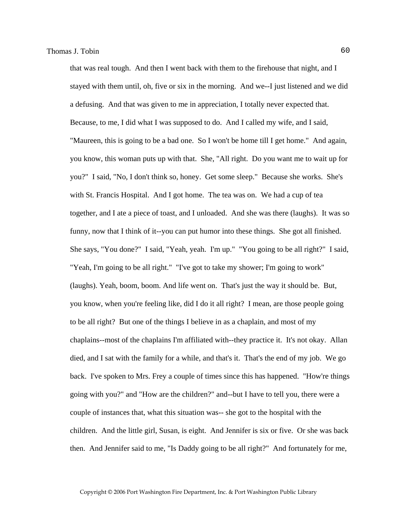that was real tough. And then I went back with them to the firehouse that night, and I stayed with them until, oh, five or six in the morning. And we--I just listened and we did a defusing. And that was given to me in appreciation, I totally never expected that. Because, to me, I did what I was supposed to do. And I called my wife, and I said, "Maureen, this is going to be a bad one. So I won't be home till I get home." And again, you know, this woman puts up with that. She, "All right. Do you want me to wait up for you?" I said, "No, I don't think so, honey. Get some sleep." Because she works. She's with St. Francis Hospital. And I got home. The tea was on. We had a cup of tea together, and I ate a piece of toast, and I unloaded. And she was there (laughs). It was so funny, now that I think of it--you can put humor into these things. She got all finished. She says, "You done?" I said, "Yeah, yeah. I'm up." "You going to be all right?" I said, "Yeah, I'm going to be all right." "I've got to take my shower; I'm going to work" (laughs). Yeah, boom, boom. And life went on. That's just the way it should be. But, you know, when you're feeling like, did I do it all right? I mean, are those people going to be all right? But one of the things I believe in as a chaplain, and most of my chaplains--most of the chaplains I'm affiliated with--they practice it. It's not okay. Allan died, and I sat with the family for a while, and that's it. That's the end of my job. We go back. I've spoken to Mrs. Frey a couple of times since this has happened. "How're things going with you?" and "How are the children?" and--but I have to tell you, there were a couple of instances that, what this situation was-- she got to the hospital with the children. And the little girl, Susan, is eight. And Jennifer is six or five. Or she was back then. And Jennifer said to me, "Is Daddy going to be all right?" And fortunately for me,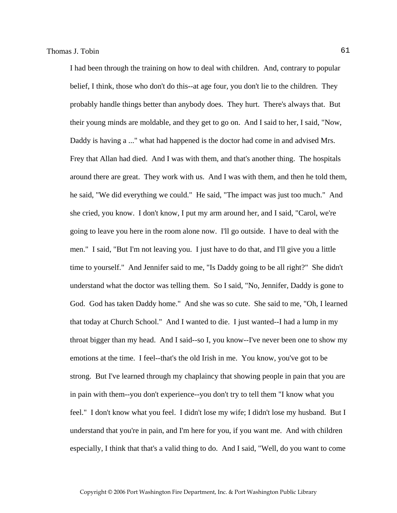I had been through the training on how to deal with children. And, contrary to popular belief, I think, those who don't do this--at age four, you don't lie to the children. They probably handle things better than anybody does. They hurt. There's always that. But their young minds are moldable, and they get to go on. And I said to her, I said, "Now, Daddy is having a ..." what had happened is the doctor had come in and advised Mrs. Frey that Allan had died. And I was with them, and that's another thing. The hospitals around there are great. They work with us. And I was with them, and then he told them, he said, "We did everything we could." He said, "The impact was just too much." And she cried, you know. I don't know, I put my arm around her, and I said, "Carol, we're going to leave you here in the room alone now. I'll go outside. I have to deal with the men." I said, "But I'm not leaving you. I just have to do that, and I'll give you a little time to yourself." And Jennifer said to me, "Is Daddy going to be all right?" She didn't understand what the doctor was telling them. So I said, "No, Jennifer, Daddy is gone to God. God has taken Daddy home." And she was so cute. She said to me, "Oh, I learned that today at Church School." And I wanted to die. I just wanted--I had a lump in my throat bigger than my head. And I said--so I, you know--I've never been one to show my emotions at the time. I feel--that's the old Irish in me. You know, you've got to be strong. But I've learned through my chaplaincy that showing people in pain that you are in pain with them--you don't experience--you don't try to tell them "I know what you feel." I don't know what you feel. I didn't lose my wife; I didn't lose my husband. But I understand that you're in pain, and I'm here for you, if you want me. And with children especially, I think that that's a valid thing to do. And I said, "Well, do you want to come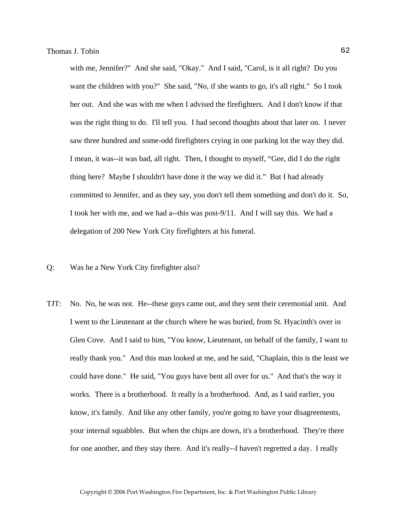with me, Jennifer?" And she said, "Okay." And I said, "Carol, is it all right? Do you want the children with you?" She said, "No, if she wants to go, it's all right." So I took her out. And she was with me when I advised the firefighters. And I don't know if that was the right thing to do. I'll tell you. I had second thoughts about that later on. I never saw three hundred and some-odd firefighters crying in one parking lot the way they did. I mean, it was--it was bad, all right. Then, I thought to myself, "Gee, did I do the right thing here? Maybe I shouldn't have done it the way we did it." But I had already committed to Jennifer, and as they say, you don't tell them something and don't do it. So, I took her with me, and we had a--this was post-9/11. And I will say this. We had a delegation of 200 New York City firefighters at his funeral.

- Q: Was he a New York City firefighter also?
- TJT: No. No, he was not. He--these guys came out, and they sent their ceremonial unit. And I went to the Lieutenant at the church where he was buried, from St. Hyacinth's over in Glen Cove. And I said to him, "You know, Lieutenant, on behalf of the family, I want to really thank you." And this man looked at me, and he said, "Chaplain, this is the least we could have done." He said, "You guys have bent all over for us." And that's the way it works. There is a brotherhood. It really is a brotherhood. And, as I said earlier, you know, it's family. And like any other family, you're going to have your disagreements, your internal squabbles. But when the chips are down, it's a brotherhood. They're there for one another, and they stay there. And it's really--I haven't regretted a day. I really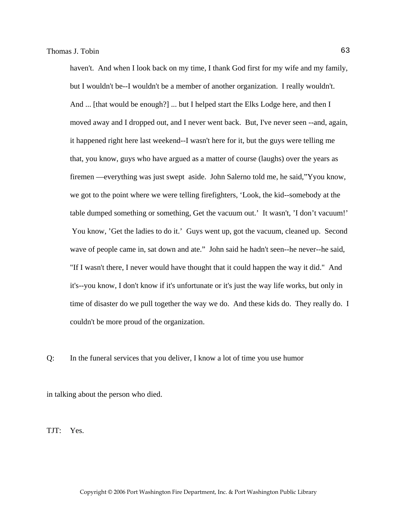haven't. And when I look back on my time, I thank God first for my wife and my family, but I wouldn't be--I wouldn't be a member of another organization. I really wouldn't. And ... [that would be enough?] ... but I helped start the Elks Lodge here, and then I moved away and I dropped out, and I never went back. But, I've never seen --and, again, it happened right here last weekend--I wasn't here for it, but the guys were telling me that, you know, guys who have argued as a matter of course (laughs) over the years as firemen —everything was just swept aside. John Salerno told me, he said,"Yyou know, we got to the point where we were telling firefighters, 'Look, the kid--somebody at the table dumped something or something, Get the vacuum out.' It wasn't, 'I don't vacuum!' You know, 'Get the ladies to do it.' Guys went up, got the vacuum, cleaned up. Second wave of people came in, sat down and ate." John said he hadn't seen--he never--he said, "If I wasn't there, I never would have thought that it could happen the way it did." And it's--you know, I don't know if it's unfortunate or it's just the way life works, but only in time of disaster do we pull together the way we do. And these kids do. They really do. I couldn't be more proud of the organization.

Q: In the funeral services that you deliver, I know a lot of time you use humor

in talking about the person who died.

TJT: Yes.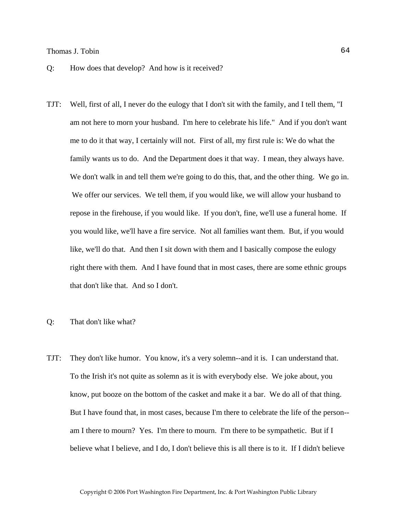- Q: How does that develop? And how is it received?
- TJT: Well, first of all, I never do the eulogy that I don't sit with the family, and I tell them, "I am not here to morn your husband. I'm here to celebrate his life." And if you don't want me to do it that way, I certainly will not. First of all, my first rule is: We do what the family wants us to do. And the Department does it that way. I mean, they always have. We don't walk in and tell them we're going to do this, that, and the other thing. We go in. We offer our services. We tell them, if you would like, we will allow your husband to repose in the firehouse, if you would like. If you don't, fine, we'll use a funeral home. If you would like, we'll have a fire service. Not all families want them. But, if you would like, we'll do that. And then I sit down with them and I basically compose the eulogy right there with them. And I have found that in most cases, there are some ethnic groups that don't like that. And so I don't.

### Q: That don't like what?

TJT: They don't like humor. You know, it's a very solemn--and it is. I can understand that. To the Irish it's not quite as solemn as it is with everybody else. We joke about, you know, put booze on the bottom of the casket and make it a bar. We do all of that thing. But I have found that, in most cases, because I'm there to celebrate the life of the person- am I there to mourn? Yes. I'm there to mourn. I'm there to be sympathetic. But if I believe what I believe, and I do, I don't believe this is all there is to it. If I didn't believe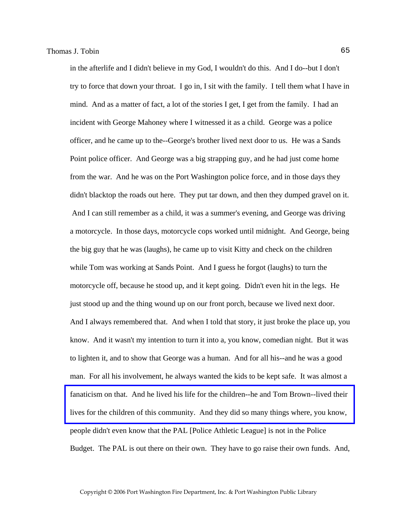in the afterlife and I didn't believe in my God, I wouldn't do this. And I do--but I don't try to force that down your throat. I go in, I sit with the family. I tell them what I have in mind. And as a matter of fact, a lot of the stories I get, I get from the family. I had an incident with George Mahoney where I witnessed it as a child. George was a police officer, and he came up to the--George's brother lived next door to us. He was a Sands Point police officer. And George was a big strapping guy, and he had just come home from the war. And he was on the Port Washington police force, and in those days they didn't blacktop the roads out here. They put tar down, and then they dumped gravel on it. And I can still remember as a child, it was a summer's evening, and George was driving a motorcycle. In those days, motorcycle cops worked until midnight. And George, being the big guy that he was (laughs), he came up to visit Kitty and check on the children while Tom was working at Sands Point. And I guess he forgot (laughs) to turn the motorcycle off, because he stood up, and it kept going. Didn't even hit in the legs. He just stood up and the thing wound up on our front porch, because we lived next door. And I always remembered that. And when I told that story, it just broke the place up, you know. And it wasn't my intention to turn it into a, you know, comedian night. But it was to lighten it, and to show that George was a human. And for all his--and he was a good man. For all his involvement, he always wanted the kids to be kept safe. It was almost a [fanaticism on that. And he lived his life for the children--he and Tom Brown--lived their](http://www.pwfdhistory.com/trans/tobint_trans/firefoc900712_pz.pdf)  lives for the children of this community. And they did so many things where, you know, people didn't even know that the PAL [Police Athletic League] is not in the Police Budget. The PAL is out there on their own. They have to go raise their own funds. And,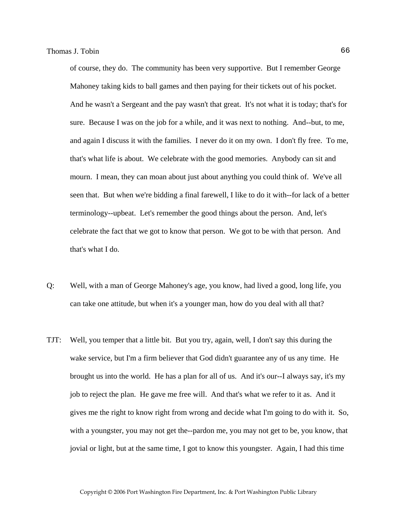of course, they do. The community has been very supportive. But I remember George Mahoney taking kids to ball games and then paying for their tickets out of his pocket. And he wasn't a Sergeant and the pay wasn't that great. It's not what it is today; that's for sure. Because I was on the job for a while, and it was next to nothing. And--but, to me, and again I discuss it with the families. I never do it on my own. I don't fly free. To me, that's what life is about. We celebrate with the good memories. Anybody can sit and mourn. I mean, they can moan about just about anything you could think of. We've all seen that. But when we're bidding a final farewell, I like to do it with--for lack of a better terminology--upbeat. Let's remember the good things about the person. And, let's celebrate the fact that we got to know that person. We got to be with that person. And that's what I do.

- Q: Well, with a man of George Mahoney's age, you know, had lived a good, long life, you can take one attitude, but when it's a younger man, how do you deal with all that?
- TJT: Well, you temper that a little bit. But you try, again, well, I don't say this during the wake service, but I'm a firm believer that God didn't guarantee any of us any time. He brought us into the world. He has a plan for all of us. And it's our--I always say, it's my job to reject the plan. He gave me free will. And that's what we refer to it as. And it gives me the right to know right from wrong and decide what I'm going to do with it. So, with a youngster, you may not get the--pardon me, you may not get to be, you know, that jovial or light, but at the same time, I got to know this youngster. Again, I had this time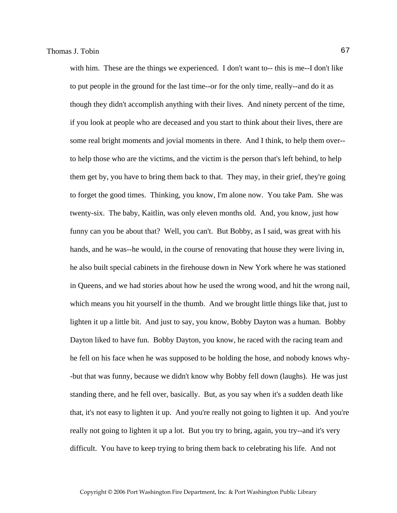with him. These are the things we experienced. I don't want to-- this is me--I don't like to put people in the ground for the last time--or for the only time, really--and do it as though they didn't accomplish anything with their lives. And ninety percent of the time, if you look at people who are deceased and you start to think about their lives, there are some real bright moments and jovial moments in there. And I think, to help them over- to help those who are the victims, and the victim is the person that's left behind, to help them get by, you have to bring them back to that. They may, in their grief, they're going to forget the good times. Thinking, you know, I'm alone now. You take Pam. She was twenty-six. The baby, Kaitlin, was only eleven months old. And, you know, just how funny can you be about that? Well, you can't. But Bobby, as I said, was great with his hands, and he was--he would, in the course of renovating that house they were living in, he also built special cabinets in the firehouse down in New York where he was stationed in Queens, and we had stories about how he used the wrong wood, and hit the wrong nail, which means you hit yourself in the thumb. And we brought little things like that, just to lighten it up a little bit. And just to say, you know, Bobby Dayton was a human. Bobby Dayton liked to have fun. Bobby Dayton, you know, he raced with the racing team and he fell on his face when he was supposed to be holding the hose, and nobody knows why- -but that was funny, because we didn't know why Bobby fell down (laughs). He was just standing there, and he fell over, basically. But, as you say when it's a sudden death like that, it's not easy to lighten it up. And you're really not going to lighten it up. And you're really not going to lighten it up a lot. But you try to bring, again, you try--and it's very difficult. You have to keep trying to bring them back to celebrating his life. And not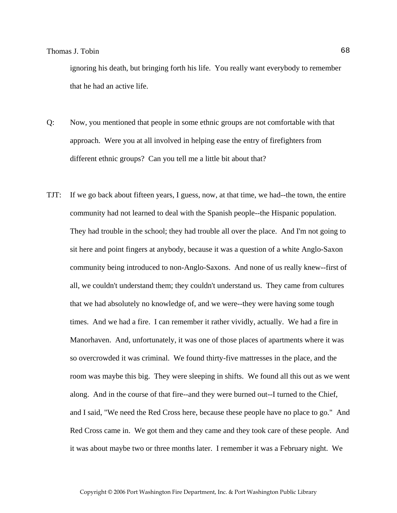ignoring his death, but bringing forth his life. You really want everybody to remember that he had an active life.

- Q: Now, you mentioned that people in some ethnic groups are not comfortable with that approach. Were you at all involved in helping ease the entry of firefighters from different ethnic groups? Can you tell me a little bit about that?
- TJT: If we go back about fifteen years, I guess, now, at that time, we had--the town, the entire community had not learned to deal with the Spanish people--the Hispanic population. They had trouble in the school; they had trouble all over the place. And I'm not going to sit here and point fingers at anybody, because it was a question of a white Anglo-Saxon community being introduced to non-Anglo-Saxons. And none of us really knew--first of all, we couldn't understand them; they couldn't understand us. They came from cultures that we had absolutely no knowledge of, and we were--they were having some tough times. And we had a fire. I can remember it rather vividly, actually. We had a fire in Manorhaven. And, unfortunately, it was one of those places of apartments where it was so overcrowded it was criminal. We found thirty-five mattresses in the place, and the room was maybe this big. They were sleeping in shifts. We found all this out as we went along. And in the course of that fire--and they were burned out--I turned to the Chief, and I said, "We need the Red Cross here, because these people have no place to go." And Red Cross came in. We got them and they came and they took care of these people. And it was about maybe two or three months later. I remember it was a February night. We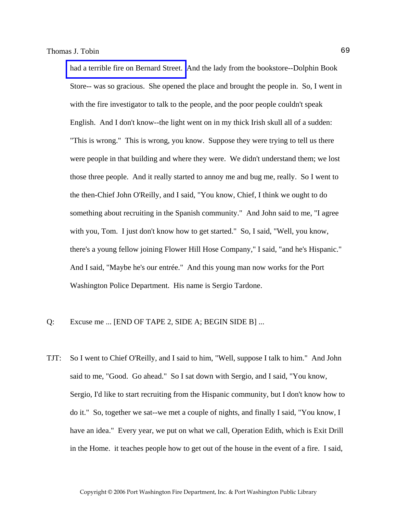[had a terrible fire on Bernard Street.](http://www.pwfdhistory.com/trans/tobint_trans/news_bernardst01_960203.pdf) And the lady from the bookstore--Dolphin Book Store-- was so gracious. She opened the place and brought the people in. So, I went in with the fire investigator to talk to the people, and the poor people couldn't speak English. And I don't know--the light went on in my thick Irish skull all of a sudden: "This is wrong." This is wrong, you know. Suppose they were trying to tell us there were people in that building and where they were. We didn't understand them; we lost those three people. And it really started to annoy me and bug me, really. So I went to the then-Chief John O'Reilly, and I said, "You know, Chief, I think we ought to do something about recruiting in the Spanish community." And John said to me, "I agree with you, Tom. I just don't know how to get started." So, I said, "Well, you know, there's a young fellow joining Flower Hill Hose Company," I said, "and he's Hispanic." And I said, "Maybe he's our entrée." And this young man now works for the Port Washington Police Department. His name is Sergio Tardone.

- Q: Excuse me ... [END OF TAPE 2, SIDE A; BEGIN SIDE B] ...
- TJT: So I went to Chief O'Reilly, and I said to him, "Well, suppose I talk to him." And John said to me, "Good. Go ahead." So I sat down with Sergio, and I said, "You know, Sergio, I'd like to start recruiting from the Hispanic community, but I don't know how to do it." So, together we sat--we met a couple of nights, and finally I said, "You know, I have an idea." Every year, we put on what we call, Operation Edith, which is Exit Drill in the Home. it teaches people how to get out of the house in the event of a fire. I said,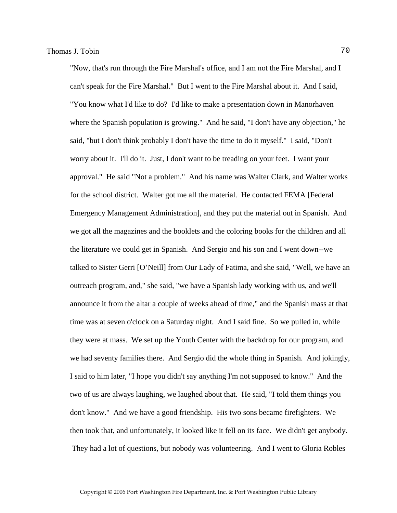"Now, that's run through the Fire Marshal's office, and I am not the Fire Marshal, and I can't speak for the Fire Marshal." But I went to the Fire Marshal about it. And I said, "You know what I'd like to do? I'd like to make a presentation down in Manorhaven where the Spanish population is growing." And he said, "I don't have any objection," he said, "but I don't think probably I don't have the time to do it myself." I said, "Don't worry about it. I'll do it. Just, I don't want to be treading on your feet. I want your approval." He said "Not a problem." And his name was Walter Clark, and Walter works for the school district. Walter got me all the material. He contacted FEMA [Federal Emergency Management Administration], and they put the material out in Spanish. And we got all the magazines and the booklets and the coloring books for the children and all the literature we could get in Spanish. And Sergio and his son and I went down--we talked to Sister Gerri [O'Neill] from Our Lady of Fatima, and she said, "Well, we have an outreach program, and," she said, "we have a Spanish lady working with us, and we'll announce it from the altar a couple of weeks ahead of time," and the Spanish mass at that time was at seven o'clock on a Saturday night. And I said fine. So we pulled in, while they were at mass. We set up the Youth Center with the backdrop for our program, and we had seventy families there. And Sergio did the whole thing in Spanish. And jokingly, I said to him later, "I hope you didn't say anything I'm not supposed to know." And the two of us are always laughing, we laughed about that. He said, "I told them things you don't know." And we have a good friendship. His two sons became firefighters. We then took that, and unfortunately, it looked like it fell on its face. We didn't get anybody. They had a lot of questions, but nobody was volunteering. And I went to Gloria Robles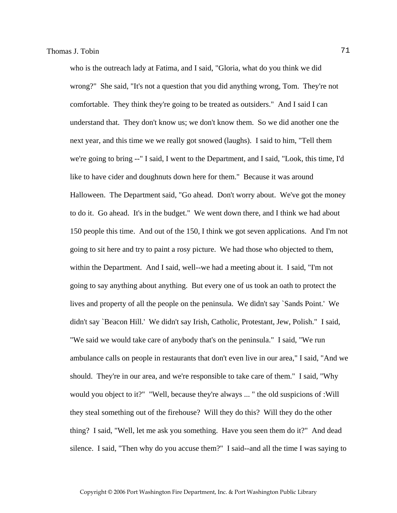who is the outreach lady at Fatima, and I said, "Gloria, what do you think we did wrong?" She said, "It's not a question that you did anything wrong, Tom. They're not comfortable. They think they're going to be treated as outsiders." And I said I can understand that. They don't know us; we don't know them. So we did another one the next year, and this time we we really got snowed (laughs). I said to him, "Tell them we're going to bring --" I said, I went to the Department, and I said, "Look, this time, I'd like to have cider and doughnuts down here for them." Because it was around Halloween. The Department said, "Go ahead. Don't worry about. We've got the money to do it. Go ahead. It's in the budget." We went down there, and I think we had about 150 people this time. And out of the 150, I think we got seven applications. And I'm not going to sit here and try to paint a rosy picture. We had those who objected to them, within the Department. And I said, well--we had a meeting about it. I said, "I'm not going to say anything about anything. But every one of us took an oath to protect the lives and property of all the people on the peninsula. We didn't say `Sands Point.' We didn't say `Beacon Hill.' We didn't say Irish, Catholic, Protestant, Jew, Polish." I said, "We said we would take care of anybody that's on the peninsula." I said, "We run ambulance calls on people in restaurants that don't even live in our area," I said, "And we should. They're in our area, and we're responsible to take care of them." I said, "Why would you object to it?" "Well, because they're always ... " the old suspicions of :Will they steal something out of the firehouse? Will they do this? Will they do the other thing? I said, "Well, let me ask you something. Have you seen them do it?" And dead silence. I said, "Then why do you accuse them?" I said--and all the time I was saying to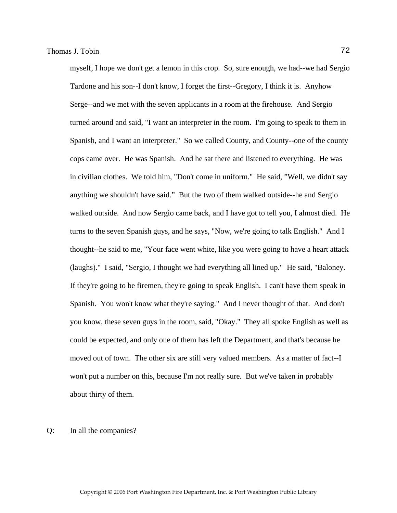myself, I hope we don't get a lemon in this crop. So, sure enough, we had--we had Sergio Tardone and his son--I don't know, I forget the first--Gregory, I think it is. Anyhow Serge--and we met with the seven applicants in a room at the firehouse. And Sergio turned around and said, "I want an interpreter in the room. I'm going to speak to them in Spanish, and I want an interpreter." So we called County, and County--one of the county cops came over. He was Spanish. And he sat there and listened to everything. He was in civilian clothes. We told him, "Don't come in uniform." He said, "Well, we didn't say anything we shouldn't have said." But the two of them walked outside--he and Sergio walked outside. And now Sergio came back, and I have got to tell you, I almost died. He turns to the seven Spanish guys, and he says, "Now, we're going to talk English." And I thought--he said to me, "Your face went white, like you were going to have a heart attack (laughs)." I said, "Sergio, I thought we had everything all lined up." He said, "Baloney. If they're going to be firemen, they're going to speak English. I can't have them speak in Spanish. You won't know what they're saying." And I never thought of that. And don't you know, these seven guys in the room, said, "Okay." They all spoke English as well as could be expected, and only one of them has left the Department, and that's because he moved out of town. The other six are still very valued members. As a matter of fact--I won't put a number on this, because I'm not really sure. But we've taken in probably about thirty of them.

### Q: In all the companies?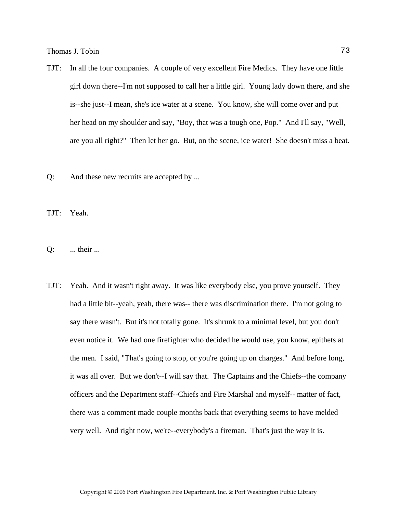- TJT: In all the four companies. A couple of very excellent Fire Medics. They have one little girl down there--I'm not supposed to call her a little girl. Young lady down there, and she is--she just--I mean, she's ice water at a scene. You know, she will come over and put her head on my shoulder and say, "Boy, that was a tough one, Pop." And I'll say, "Well, are you all right?" Then let her go. But, on the scene, ice water! She doesn't miss a beat.
- Q: And these new recruits are accepted by ...

TJT: Yeah.

- Q: ... their ...
- TJT: Yeah. And it wasn't right away. It was like everybody else, you prove yourself. They had a little bit--yeah, yeah, there was-- there was discrimination there. I'm not going to say there wasn't. But it's not totally gone. It's shrunk to a minimal level, but you don't even notice it. We had one firefighter who decided he would use, you know, epithets at the men. I said, "That's going to stop, or you're going up on charges." And before long, it was all over. But we don't--I will say that. The Captains and the Chiefs--the company officers and the Department staff--Chiefs and Fire Marshal and myself-- matter of fact, there was a comment made couple months back that everything seems to have melded very well. And right now, we're--everybody's a fireman. That's just the way it is.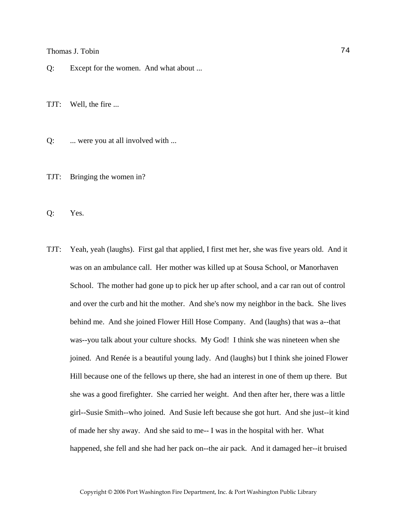Q: Except for the women. And what about ...

TJT: Well, the fire ...

Q: ... were you at all involved with ...

TJT: Bringing the women in?

Q: Yes.

TJT: Yeah, yeah (laughs). First gal that applied, I first met her, she was five years old. And it was on an ambulance call. Her mother was killed up at Sousa School, or Manorhaven School. The mother had gone up to pick her up after school, and a car ran out of control and over the curb and hit the mother. And she's now my neighbor in the back. She lives behind me. And she joined Flower Hill Hose Company. And (laughs) that was a--that was--you talk about your culture shocks. My God! I think she was nineteen when she joined. And Renée is a beautiful young lady. And (laughs) but I think she joined Flower Hill because one of the fellows up there, she had an interest in one of them up there. But she was a good firefighter. She carried her weight. And then after her, there was a little girl--Susie Smith--who joined. And Susie left because she got hurt. And she just--it kind of made her shy away. And she said to me-- I was in the hospital with her. What happened, she fell and she had her pack on--the air pack. And it damaged her--it bruised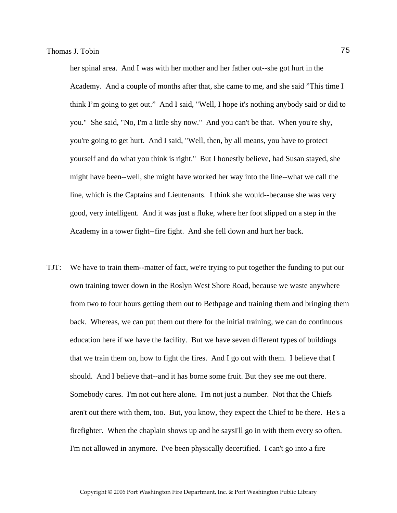her spinal area. And I was with her mother and her father out--she got hurt in the Academy. And a couple of months after that, she came to me, and she said "This time I think I'm going to get out." And I said, "Well, I hope it's nothing anybody said or did to you." She said, "No, I'm a little shy now." And you can't be that. When you're shy, you're going to get hurt. And I said, "Well, then, by all means, you have to protect yourself and do what you think is right." But I honestly believe, had Susan stayed, she might have been--well, she might have worked her way into the line--what we call the line, which is the Captains and Lieutenants. I think she would--because she was very good, very intelligent. And it was just a fluke, where her foot slipped on a step in the Academy in a tower fight--fire fight. And she fell down and hurt her back.

TJT: We have to train them--matter of fact, we're trying to put together the funding to put our own training tower down in the Roslyn West Shore Road, because we waste anywhere from two to four hours getting them out to Bethpage and training them and bringing them back. Whereas, we can put them out there for the initial training, we can do continuous education here if we have the facility. But we have seven different types of buildings that we train them on, how to fight the fires. And I go out with them. I believe that I should. And I believe that--and it has borne some fruit. But they see me out there. Somebody cares. I'm not out here alone. I'm not just a number. Not that the Chiefs aren't out there with them, too. But, you know, they expect the Chief to be there. He's a firefighter. When the chaplain shows up and he saysI'll go in with them every so often. I'm not allowed in anymore. I've been physically decertified. I can't go into a fire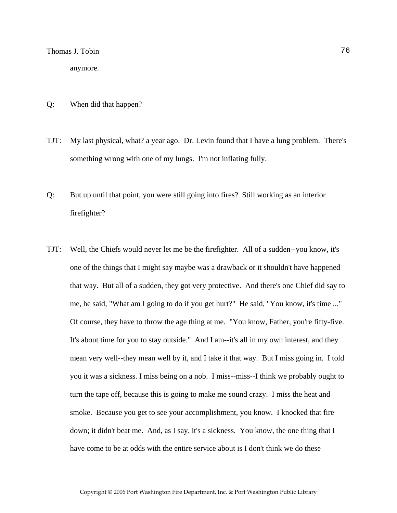anymore.

- Q: When did that happen?
- TJT: My last physical, what? a year ago. Dr. Levin found that I have a lung problem. There's something wrong with one of my lungs. I'm not inflating fully.
- Q: But up until that point, you were still going into fires? Still working as an interior firefighter?
- TJT: Well, the Chiefs would never let me be the firefighter. All of a sudden--you know, it's one of the things that I might say maybe was a drawback or it shouldn't have happened that way. But all of a sudden, they got very protective. And there's one Chief did say to me, he said, "What am I going to do if you get hurt?" He said, "You know, it's time ..." Of course, they have to throw the age thing at me. "You know, Father, you're fifty-five. It's about time for you to stay outside." And I am--it's all in my own interest, and they mean very well--they mean well by it, and I take it that way. But I miss going in. I told you it was a sickness. I miss being on a nob. I miss--miss--I think we probably ought to turn the tape off, because this is going to make me sound crazy. I miss the heat and smoke. Because you get to see your accomplishment, you know. I knocked that fire down; it didn't beat me. And, as I say, it's a sickness. You know, the one thing that I have come to be at odds with the entire service about is I don't think we do these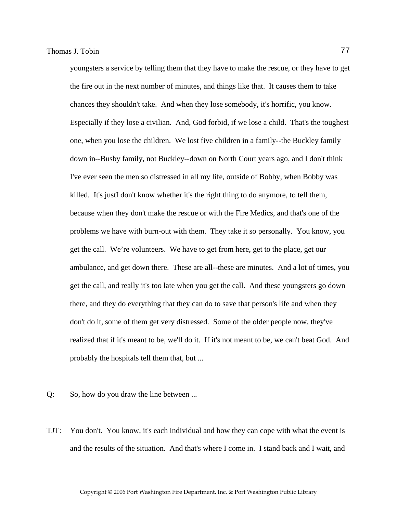youngsters a service by telling them that they have to make the rescue, or they have to get the fire out in the next number of minutes, and things like that. It causes them to take chances they shouldn't take. And when they lose somebody, it's horrific, you know. Especially if they lose a civilian. And, God forbid, if we lose a child. That's the toughest one, when you lose the children. We lost five children in a family--the Buckley family down in--Busby family, not Buckley--down on North Court years ago, and I don't think I've ever seen the men so distressed in all my life, outside of Bobby, when Bobby was killed. It's justI don't know whether it's the right thing to do anymore, to tell them, because when they don't make the rescue or with the Fire Medics, and that's one of the problems we have with burn-out with them. They take it so personally. You know, you get the call. We're volunteers. We have to get from here, get to the place, get our ambulance, and get down there. These are all--these are minutes. And a lot of times, you get the call, and really it's too late when you get the call. And these youngsters go down there, and they do everything that they can do to save that person's life and when they don't do it, some of them get very distressed. Some of the older people now, they've realized that if it's meant to be, we'll do it. If it's not meant to be, we can't beat God. And probably the hospitals tell them that, but ...

- Q: So, how do you draw the line between ...
- TJT: You don't. You know, it's each individual and how they can cope with what the event is and the results of the situation. And that's where I come in. I stand back and I wait, and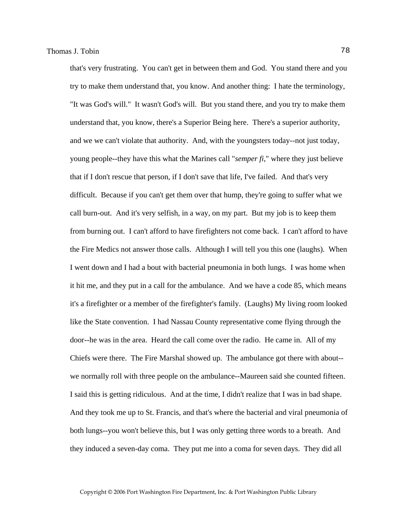that's very frustrating. You can't get in between them and God. You stand there and you try to make them understand that, you know. And another thing: I hate the terminology, "It was God's will." It wasn't God's will. But you stand there, and you try to make them understand that, you know, there's a Superior Being here. There's a superior authority, and we we can't violate that authority. And, with the youngsters today--not just today, young people--they have this what the Marines call "*semper fi*," where they just believe that if I don't rescue that person, if I don't save that life, I've failed. And that's very difficult. Because if you can't get them over that hump, they're going to suffer what we call burn-out. And it's very selfish, in a way, on my part. But my job is to keep them from burning out. I can't afford to have firefighters not come back. I can't afford to have the Fire Medics not answer those calls. Although I will tell you this one (laughs). When I went down and I had a bout with bacterial pneumonia in both lungs. I was home when it hit me, and they put in a call for the ambulance. And we have a code 85, which means it's a firefighter or a member of the firefighter's family. (Laughs) My living room looked like the State convention. I had Nassau County representative come flying through the door--he was in the area. Heard the call come over the radio. He came in. All of my Chiefs were there. The Fire Marshal showed up. The ambulance got there with about- we normally roll with three people on the ambulance--Maureen said she counted fifteen. I said this is getting ridiculous. And at the time, I didn't realize that I was in bad shape. And they took me up to St. Francis, and that's where the bacterial and viral pneumonia of both lungs--you won't believe this, but I was only getting three words to a breath. And they induced a seven-day coma. They put me into a coma for seven days. They did all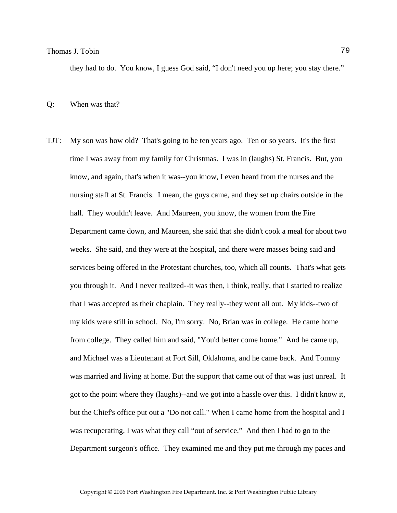they had to do. You know, I guess God said, "I don't need you up here; you stay there."

#### Q: When was that?

TJT: My son was how old? That's going to be ten years ago. Ten or so years. It's the first time I was away from my family for Christmas. I was in (laughs) St. Francis. But, you know, and again, that's when it was--you know, I even heard from the nurses and the nursing staff at St. Francis. I mean, the guys came, and they set up chairs outside in the hall. They wouldn't leave. And Maureen, you know, the women from the Fire Department came down, and Maureen, she said that she didn't cook a meal for about two weeks. She said, and they were at the hospital, and there were masses being said and services being offered in the Protestant churches, too, which all counts. That's what gets you through it. And I never realized--it was then, I think, really, that I started to realize that I was accepted as their chaplain. They really--they went all out. My kids--two of my kids were still in school. No, I'm sorry. No, Brian was in college. He came home from college. They called him and said, "You'd better come home." And he came up, and Michael was a Lieutenant at Fort Sill, Oklahoma, and he came back. And Tommy was married and living at home. But the support that came out of that was just unreal. It got to the point where they (laughs)--and we got into a hassle over this. I didn't know it, but the Chief's office put out a "Do not call." When I came home from the hospital and I was recuperating, I was what they call "out of service." And then I had to go to the Department surgeon's office. They examined me and they put me through my paces and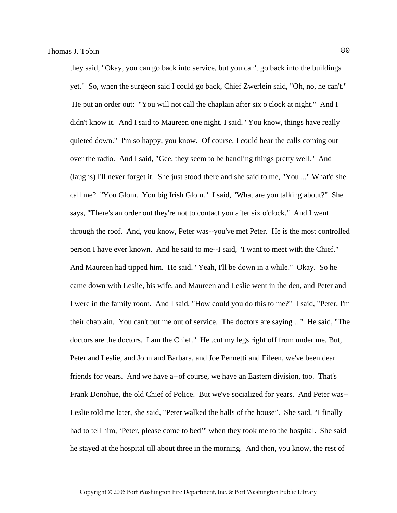they said, "Okay, you can go back into service, but you can't go back into the buildings yet." So, when the surgeon said I could go back, Chief Zwerlein said, "Oh, no, he can't." He put an order out: "You will not call the chaplain after six o'clock at night." And I didn't know it. And I said to Maureen one night, I said, "You know, things have really quieted down." I'm so happy, you know. Of course, I could hear the calls coming out over the radio. And I said, "Gee, they seem to be handling things pretty well." And (laughs) I'll never forget it. She just stood there and she said to me, "You ..." What'd she call me? "You Glom. You big Irish Glom." I said, "What are you talking about?" She says, "There's an order out they're not to contact you after six o'clock." And I went through the roof. And, you know, Peter was--you've met Peter. He is the most controlled person I have ever known. And he said to me--I said, "I want to meet with the Chief." And Maureen had tipped him. He said, "Yeah, I'll be down in a while." Okay. So he came down with Leslie, his wife, and Maureen and Leslie went in the den, and Peter and I were in the family room. And I said, "How could you do this to me?" I said, "Peter, I'm their chaplain. You can't put me out of service. The doctors are saying ..." He said, "The doctors are the doctors. I am the Chief." He .cut my legs right off from under me. But, Peter and Leslie, and John and Barbara, and Joe Pennetti and Eileen, we've been dear friends for years. And we have a--of course, we have an Eastern division, too. That's Frank Donohue, the old Chief of Police. But we've socialized for years. And Peter was-- Leslie told me later, she said, "Peter walked the halls of the house". She said, "I finally had to tell him, 'Peter, please come to bed'" when they took me to the hospital. She said he stayed at the hospital till about three in the morning. And then, you know, the rest of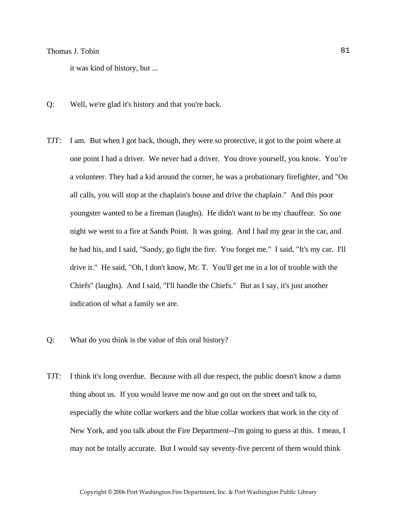it was kind of history, but ...

- Q: Well, we're glad it's history and that you're back.
- TJT: I am. But when I got back, though, they were so protective, it got to the point where at one point I had a driver. We never had a driver. You drove yourself, you know. You're a volunteer. They had a kid around the corner, he was a probationary firefighter, and "On all calls, you will stop at the chaplain's house and drive the chaplain." And this poor youngster wanted to be a fireman (laughs). He didn't want to be my chauffeur. So one night we went to a fire at Sands Point. It was going. And I had my gear in the car, and he had his, and I said, "Sandy, go fight the fire. You forget me." I said, "It's my car. I'll drive it." He said, "Oh, I don't know, Mr. T. You'll get me in a lot of trouble with the Chiefs" (laughs). And I said, "I'll handle the Chiefs." But as I say, it's just another indication of what a family we are.
- Q: What do you think is the value of this oral history?
- TJT: I think it's long overdue. Because with all due respect, the public doesn't know a damn thing about us. If you would leave me now and go out on the street and talk to, especially the white collar workers and the blue collar workers that work in the city of New York, and you talk about the Fire Department--I'm going to guess at this. I mean, I may not be totally accurate. But I would say seventy-five percent of them would think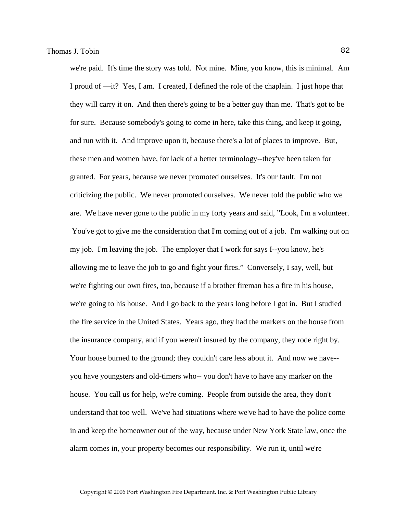we're paid. It's time the story was told. Not mine. Mine, you know, this is minimal. Am I proud of —it? Yes, I am. I created, I defined the role of the chaplain. I just hope that they will carry it on. And then there's going to be a better guy than me. That's got to be for sure. Because somebody's going to come in here, take this thing, and keep it going, and run with it. And improve upon it, because there's a lot of places to improve. But, these men and women have, for lack of a better terminology--they've been taken for granted. For years, because we never promoted ourselves. It's our fault. I'm not criticizing the public. We never promoted ourselves. We never told the public who we are. We have never gone to the public in my forty years and said, "Look, I'm a volunteer. You've got to give me the consideration that I'm coming out of a job. I'm walking out on my job. I'm leaving the job. The employer that I work for says I--you know, he's allowing me to leave the job to go and fight your fires." Conversely, I say, well, but we're fighting our own fires, too, because if a brother fireman has a fire in his house, we're going to his house. And I go back to the years long before I got in. But I studied the fire service in the United States. Years ago, they had the markers on the house from the insurance company, and if you weren't insured by the company, they rode right by. Your house burned to the ground; they couldn't care less about it. And now we have- you have youngsters and old-timers who-- you don't have to have any marker on the house. You call us for help, we're coming. People from outside the area, they don't understand that too well. We've had situations where we've had to have the police come in and keep the homeowner out of the way, because under New York State law, once the alarm comes in, your property becomes our responsibility. We run it, until we're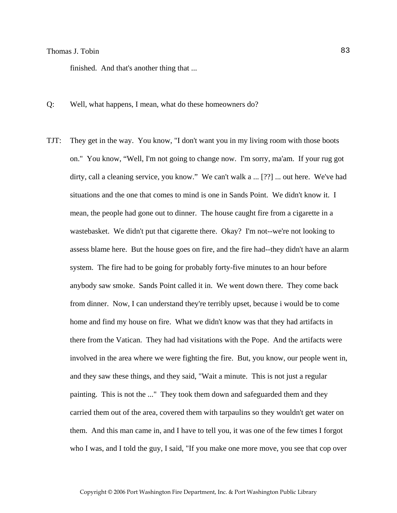finished. And that's another thing that ...

- Q: Well, what happens, I mean, what do these homeowners do?
- TJT: They get in the way. You know, "I don't want you in my living room with those boots on." You know, "Well, I'm not going to change now. I'm sorry, ma'am. If your rug got dirty, call a cleaning service, you know." We can't walk a ... [??] ... out here. We've had situations and the one that comes to mind is one in Sands Point. We didn't know it. I mean, the people had gone out to dinner. The house caught fire from a cigarette in a wastebasket. We didn't put that cigarette there. Okay? I'm not--we're not looking to assess blame here. But the house goes on fire, and the fire had--they didn't have an alarm system. The fire had to be going for probably forty-five minutes to an hour before anybody saw smoke. Sands Point called it in. We went down there. They come back from dinner. Now, I can understand they're terribly upset, because i would be to come home and find my house on fire. What we didn't know was that they had artifacts in there from the Vatican. They had had visitations with the Pope. And the artifacts were involved in the area where we were fighting the fire. But, you know, our people went in, and they saw these things, and they said, "Wait a minute. This is not just a regular painting. This is not the ..." They took them down and safeguarded them and they carried them out of the area, covered them with tarpaulins so they wouldn't get water on them. And this man came in, and I have to tell you, it was one of the few times I forgot who I was, and I told the guy, I said, "If you make one more move, you see that cop over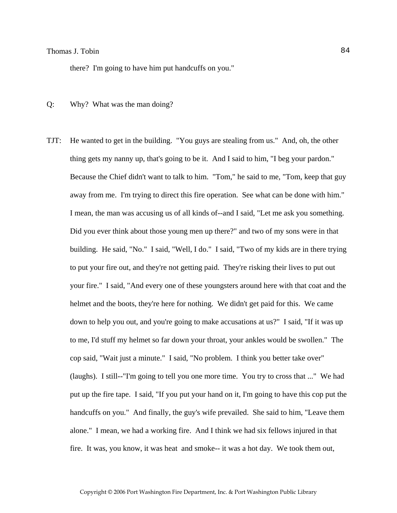there? I'm going to have him put handcuffs on you."

- Q: Why? What was the man doing?
- TJT: He wanted to get in the building. "You guys are stealing from us." And, oh, the other thing gets my nanny up, that's going to be it. And I said to him, "I beg your pardon." Because the Chief didn't want to talk to him. "Tom," he said to me, "Tom, keep that guy away from me. I'm trying to direct this fire operation. See what can be done with him." I mean, the man was accusing us of all kinds of--and I said, "Let me ask you something. Did you ever think about those young men up there?" and two of my sons were in that building. He said, "No." I said, "Well, I do." I said, "Two of my kids are in there trying to put your fire out, and they're not getting paid. They're risking their lives to put out your fire." I said, "And every one of these youngsters around here with that coat and the helmet and the boots, they're here for nothing. We didn't get paid for this. We came down to help you out, and you're going to make accusations at us?" I said, "If it was up to me, I'd stuff my helmet so far down your throat, your ankles would be swollen." The cop said, "Wait just a minute." I said, "No problem. I think you better take over" (laughs). I still--"I'm going to tell you one more time. You try to cross that ..." We had put up the fire tape. I said, "If you put your hand on it, I'm going to have this cop put the handcuffs on you." And finally, the guy's wife prevailed. She said to him, "Leave them alone." I mean, we had a working fire. And I think we had six fellows injured in that fire. It was, you know, it was heat and smoke-- it was a hot day. We took them out,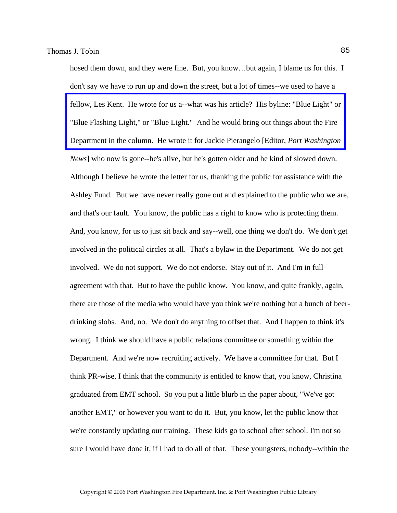hosed them down, and they were fine. But, you know...but again, I blame us for this. I don't say we have to run up and down the street, but a lot of times--we used to have a [fellow, Les Kent. He wrote for us a--what was his article? His byline: "Blue Light" or](http://www.pwfdhistory.com/trans/tobint_trans/pnews900111f_pz.pdf)  "Blue Flashing Light," or "Blue Light." And he would bring out things about the Fire Department in the column. He wrote it for Jackie Pierangelo [Editor, *Port Washington News*] who now is gone--he's alive, but he's gotten older and he kind of slowed down. Although I believe he wrote the letter for us, thanking the public for assistance with the Ashley Fund. But we have never really gone out and explained to the public who we are, and that's our fault. You know, the public has a right to know who is protecting them. And, you know, for us to just sit back and say--well, one thing we don't do. We don't get involved in the political circles at all. That's a bylaw in the Department. We do not get involved. We do not support. We do not endorse. Stay out of it. And I'm in full agreement with that. But to have the public know. You know, and quite frankly, again, there are those of the media who would have you think we're nothing but a bunch of beerdrinking slobs. And, no. We don't do anything to offset that. And I happen to think it's wrong. I think we should have a public relations committee or something within the Department. And we're now recruiting actively. We have a committee for that. But I think PR-wise, I think that the community is entitled to know that, you know, Christina graduated from EMT school. So you put a little blurb in the paper about, "We've got another EMT," or however you want to do it. But, you know, let the public know that we're constantly updating our training. These kids go to school after school. I'm not so sure I would have done it, if I had to do all of that. These youngsters, nobody--within the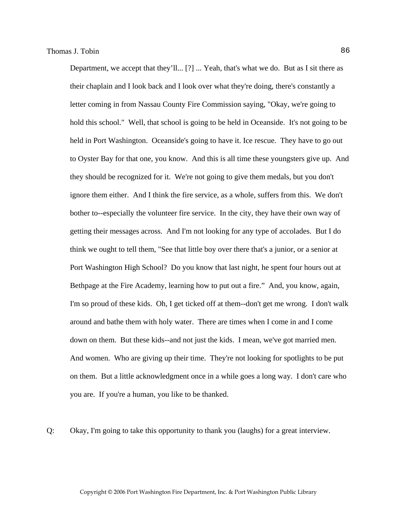Department, we accept that they'll... [?] ... Yeah, that's what we do. But as I sit there as their chaplain and I look back and I look over what they're doing, there's constantly a letter coming in from Nassau County Fire Commission saying, "Okay, we're going to hold this school." Well, that school is going to be held in Oceanside. It's not going to be held in Port Washington. Oceanside's going to have it. Ice rescue. They have to go out to Oyster Bay for that one, you know. And this is all time these youngsters give up. And they should be recognized for it. We're not going to give them medals, but you don't ignore them either. And I think the fire service, as a whole, suffers from this. We don't bother to--especially the volunteer fire service. In the city, they have their own way of getting their messages across. And I'm not looking for any type of accolades. But I do think we ought to tell them, "See that little boy over there that's a junior, or a senior at Port Washington High School? Do you know that last night, he spent four hours out at Bethpage at the Fire Academy, learning how to put out a fire." And, you know, again, I'm so proud of these kids. Oh, I get ticked off at them--don't get me wrong. I don't walk around and bathe them with holy water. There are times when I come in and I come down on them. But these kids--and not just the kids. I mean, we've got married men. And women. Who are giving up their time. They're not looking for spotlights to be put on them. But a little acknowledgment once in a while goes a long way. I don't care who you are. If you're a human, you like to be thanked.

Q: Okay, I'm going to take this opportunity to thank you (laughs) for a great interview.